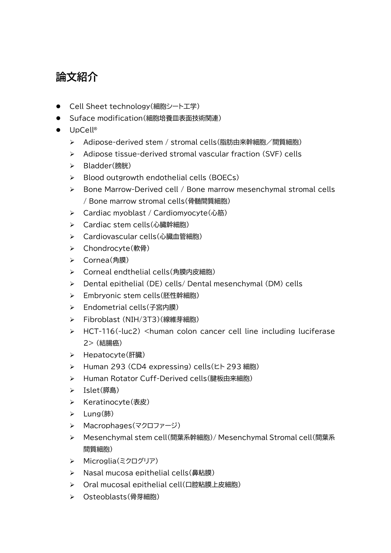# **論文紹介**

- Cell Sheet technology(細胞シート工学)
- Suface modification(細胞培養皿表面技術関連)
- UpCell®
	- ▶ Adipose-derived stem / stromal cells(脂肪由来幹細胞/間質細胞)
	- Adipose tissue-derived stromal vascular fraction (SVF) cells
	- Bladder(膀胱)
	- $\triangleright$  Blood outgrowth endothelial cells (BOECs)
	- $\triangleright$  Bone Marrow-Derived cell / Bone marrow mesenchymal stromal cells / Bone marrow stromal cells(骨髄間質細胞)
	- > Cardiac myoblast / Cardiomyocyte(心筋)
	- ▶ Cardiac stem cells(心臓幹細胞)
	- Cardiovascular cells(心臓血管細胞)
	- > Chondrocyte(軟骨)
	- ▶ Cornea(角膜)
	- ▶ Corneal endthelial cells(角膜内皮細胞)
	- Dental epithelial (DE) cells/ Dental mesenchymal (DM) cells
	- ▶ Embryonic stem cells(胚性幹細胞)
	- Endometrial cells(子宮内膜)
	- Fibroblast (NIH/3T3)(線維芽細胞)
	- $\triangleright$  HCT-116(-luc2) <human colon cancer cell line including luciferase 2> (結腸癌)
	- ▶ Hepatocyte(肝臓)
	- Human 293 (CD4 expressing) cells(ヒト 293 細胞)
	- ▶ Human Rotator Cuff-Derived cells(腱板由来細胞)
	- ▶ Islet(膵島)
	- ▶ Keratinocyte(表皮)
	- Lung(肺)
	- ▶ Macrophages(マクロファージ)
	- Mesenchymal stem cell(間葉系幹細胞)/ Mesenchymal Stromal cell(間葉系 間質細胞)
	- > Microglia(ミクログリア)
	- ▶ Nasal mucosa epithelial cells(鼻粘膜)
	- ▶ Oral mucosal epithelial cell(口腔粘膜上皮細胞)
	- Osteoblasts(骨芽細胞)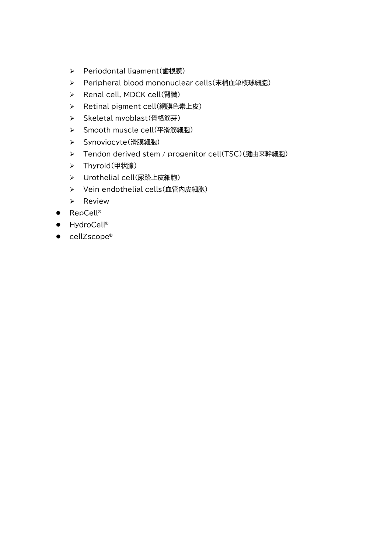- ▶ Periodontal ligament(歯根膜)
- Peripheral blood mononuclear cells(末梢血単核球細胞)
- ▶ Renal cell, MDCK cell(腎臓)
- > Retinal pigment cell(網膜色素上皮)
- > Skeletal myoblast(骨格筋芽)
- > Smooth muscle cell(平滑筋細胞)
- > Synoviocyte(滑膜細胞)
- ▶ Tendon derived stem / progenitor cell(TSC)(腱由来幹細胞)
- > Thyroid(甲状腺)
- > Urothelial cell(尿路上皮細胞)
- > Vein endothelial cells(血管内皮細胞)
- $\triangleright$  Review
- RepCell<sup>®</sup>
- HydroCell<sup>®</sup>
- cellZscope®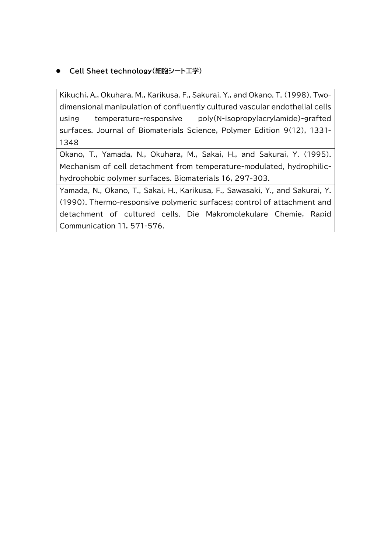# **Cell Sheet technology(細胞シート工学)**

Kikuchi, A., Okuhara. M., Karikusa. F., Sakurai. Y., and Okano. T. (1998). Twodimensional manipulation of confluently cultured vascular endothelial cells using temperature-responsive poly(N-isopropylacrylamide)-grafted surfaces. Journal of Biomaterials Science, Polymer Edition 9(12), 1331- 1348

Okano, T., Yamada, N., Okuhara, M., Sakai, H., and Sakurai, Y. (1995). Mechanism of cell detachment from temperature-modulated, hydrophilichydrophobic polymer surfaces. Biomaterials 16, 297-303.

Yamada, N., Okano, T., Sakai, H., Karikusa, F., Sawasaki, Y., and Sakurai, Y. (1990). Thermo-responsive polymeric surfaces; control of attachment and detachment of cultured cells. Die Makromolekulare Chemie, Rapid Communication 11, 571-576.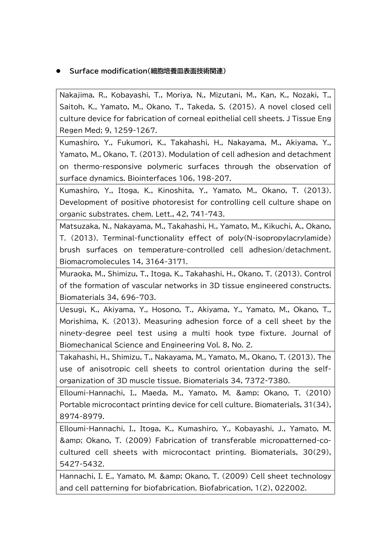## **Surface modification(細胞培養皿表面技術関連)**

Nakajima, R., Kobayashi, T., Moriya, N., Mizutani, M., Kan, K., Nozaki, T., Saitoh, K., Yamato, M., Okano, T., Takeda, S. (2015). A novel closed cell culture device for fabrication of corneal epithelial cell sheets. J Tissue Eng Regen Med; 9, 1259-1267.

Kumashiro, Y., Fukumori, K., Takahashi, H., Nakayama, M., Akiyama, Y., Yamato, M., Okano, T. (2013). Modulation of cell adhesion and detachment on thermo-responsive polymeric surfaces through the observation of surface dynamics. Biointerfaces 106, 198-207.

Kumashiro, Y., Itoga, K., Kinoshita, Y., Yamato, M., Okano, T. (2013). Development of positive photoresist for controlling cell culture shape on organic substrates. chem. Lett., 42, 741-743.

Matsuzaka, N., Nakayama, M., Takahashi, H., Yamato, M., Kikuchi, A., Okano, T. (2013). Terminal-functionality effect of poly(N-isopropylacrylamide) brush surfaces on temperature-controlled cell adhesion/detachment. Biomacromolecules 14, 3164-3171.

Muraoka, M., Shimizu, T., Itoga, K., Takahashi, H., Okano, T. (2013). Control of the formation of vascular networks in 3D tissue engineered constructs. Biomaterials 34, 696-703.

Uesugi, K., Akiyama, Y., Hosono, T., Akiyama, Y., Yamato, M., Okano, T., Morishima, K. (2013). Measuring adhesion force of a cell sheet by the ninety-degree peel test using a multi hook type fixture. Journal of Biomechanical Science and Engineering Vol. 8, No. 2.

Takahashi, H., Shimizu, T., Nakayama, M., Yamato, M., Okano, T. (2013). The use of anisotropic cell sheets to control orientation during the selforganization of 3D muscle tissue. Biomaterials 34, 7372-7380.

Elloumi-Hannachi, I., Maeda, M., Yamato, M. & amp; Okano, T. (2010) Portable microcontact printing device for cell culture. Biomaterials, 31(34), 8974-8979.

Elloumi-Hannachi, I., Itoga, K., Kumashiro, Y., Kobayashi, J., Yamato, M. & Okano, T. (2009) Fabrication of transferable micropatterned-cocultured cell sheets with microcontact printing. Biomaterials, 30(29), 5427-5432.

Hannachi, I. E., Yamato, M. & amp; Okano, T. (2009) Cell sheet technology and cell patterning for biofabrication. Biofabrication, 1(2), 022002.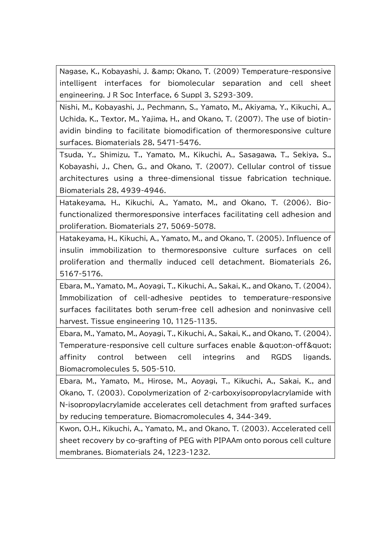Nagase, K., Kobayashi, J. & amp; Okano, T. (2009) Temperature-responsive intelligent interfaces for biomolecular separation and cell sheet engineering. J R Soc Interface, 6 Suppl 3, S293-309.

Nishi, M., Kobayashi, J., Pechmann, S., Yamato, M., Akiyama, Y., Kikuchi, A., Uchida, K., Textor, M., Yajima, H., and Okano, T. (2007). The use of biotinavidin binding to facilitate biomodification of thermoresponsive culture surfaces. Biomaterials 28, 5471-5476.

Tsuda, Y., Shimizu, T., Yamato, M., Kikuchi, A., Sasagawa, T., Sekiya, S., Kobayashi, J., Chen, G., and Okano, T. (2007). Cellular control of tissue architectures using a three-dimensional tissue fabrication technique. Biomaterials 28, 4939-4946.

Hatakeyama, H., Kikuchi, A., Yamato, M., and Okano, T. (2006). Biofunctionalized thermoresponsive interfaces facilitating cell adhesion and proliferation. Biomaterials 27, 5069-5078.

Hatakeyama, H., Kikuchi, A., Yamato, M., and Okano, T. (2005). Influence of insulin immobilization to thermoresponsive culture surfaces on cell proliferation and thermally induced cell detachment. Biomaterials 26, 5167-5176.

Ebara, M., Yamato, M., Aoyagi, T., Kikuchi, A., Sakai, K., and Okano, T. (2004). Immobilization of cell-adhesive peptides to temperature-responsive surfaces facilitates both serum-free cell adhesion and noninvasive cell harvest. Tissue engineering 10, 1125-1135.

Ebara, M., Yamato, M., Aoyagi, T., Kikuchi, A., Sakai, K., and Okano, T. (2004). Temperature-responsive cell culture surfaces enable &quot:on-off&quot: affinity control between cell integrins and RGDS ligands. Biomacromolecules 5, 505-510.

Ebara, M., Yamato, M., Hirose, M., Aoyagi, T., Kikuchi, A., Sakai, K., and Okano, T. (2003). Copolymerization of 2-carboxyisopropylacrylamide with N-isopropylacrylamide accelerates cell detachment from grafted surfaces by reducing temperature. Biomacromolecules 4, 344-349.

Kwon, O.H., Kikuchi, A., Yamato, M., and Okano, T. (2003). Accelerated cell sheet recovery by co-grafting of PEG with PIPAAm onto porous cell culture membranes. Biomaterials 24, 1223-1232.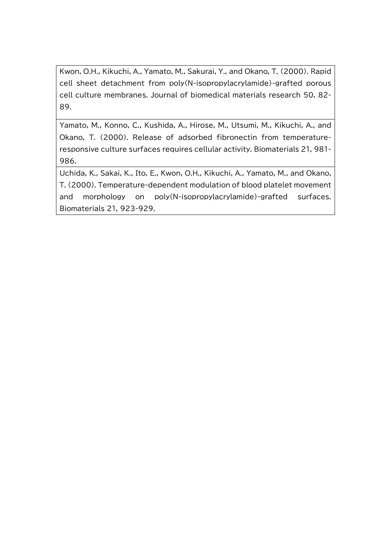Kwon, O.H., Kikuchi, A., Yamato, M., Sakurai, Y., and Okano, T. (2000). Rapid cell sheet detachment from poly(N-isopropylacrylamide)-grafted porous cell culture membranes. Journal of biomedical materials research 50, 82- 89.

Yamato, M., Konno, C., Kushida, A., Hirose, M., Utsumi, M., Kikuchi, A., and Okano, T. (2000). Release of adsorbed fibronectin from temperatureresponsive culture surfaces requires cellular activity. Biomaterials 21, 981- 986.

Uchida, K., Sakai, K., Ito, E., Kwon, O.H., Kikuchi, A., Yamato, M., and Okano, T. (2000). Temperature-dependent modulation of blood platelet movement and morphology on poly(N-isopropylacrylamide)-grafted surfaces. Biomaterials 21, 923-929.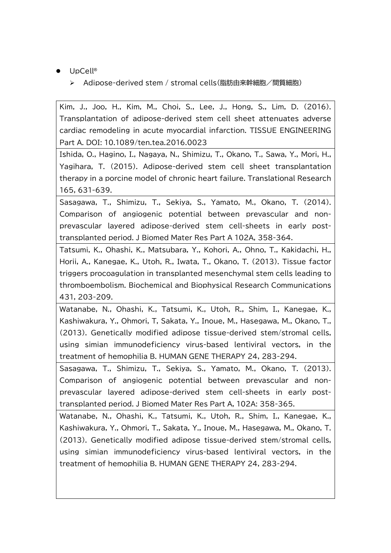- UpCell®
	- Adipose-derived stem / stromal cells(脂肪由来幹細胞/間質細胞)

Kim, J., Joo, H., Kim, M., Choi, S., Lee, J., Hong, S., Lim, D. (2016). Transplantation of adipose-derived stem cell sheet attenuates adverse cardiac remodeling in acute myocardial infarction. TISSUE ENGINEERING Part A. DOI: 10.1089/ten.tea.2016.0023

Ishida, O., Hagino, I., Nagaya, N., Shimizu, T., Okano, T., Sawa, Y., Mori, H., Yagihara, T. (2015). Adipose-derived stem cell sheet transplantation therapy in a porcine model of chronic heart failure. Translational Research 165, 631-639.

Sasagawa, T., Shimizu, T., Sekiya, S., Yamato, M., Okano, T. (2014). Comparison of angiogenic potential between prevascular and nonprevascular layered adipose-derived stem cell-sheets in early posttransplanted period. J Biomed Mater Res Part A 102A, 358-364.

Tatsumi, K., Ohashi, K., Matsubara, Y., Kohori, A., Ohno, T., Kakidachi, H., Horii, A., Kanegae, K., Utoh, R., Iwata, T., Okano, T. (2013). Tissue factor triggers procoagulation in transplanted mesenchymal stem cells leading to thromboembolism. Biochemical and Biophysical Research Communications 431, 203-209.

Watanabe, N., Ohashi, K., Tatsumi, K., Utoh, R., Shim, I., Kanegae, K., Kashiwakura, Y., Ohmori, T, Sakata, Y., Inoue, M., Hasegawa, M., Okano, T., (2013). Genetically modified adipose tissue-derived stem/stromal cells, using simian immunodeficiency virus-based lentiviral vectors, in the treatment of hemophilia B. HUMAN GENE THERAPY 24, 283-294.

Sasagawa, T., Shimizu, T., Sekiya, S., Yamato, M., Okano, T. (2013). Comparison of angiogenic potential between prevascular and nonprevascular layered adipose-derived stem cell-sheets in early posttransplanted period. J Biomed Mater Res Part A, 102A: 358-365.

Watanabe, N., Ohashi, K., Tatsumi, K., Utoh, R., Shim, I., Kanegae, K., Kashiwakura, Y., Ohmori, T., Sakata, Y., Inoue, M., Hasegawa, M., Okano, T. (2013). Genetically modified adipose tissue-derived stem/stromal cells, using simian immunodeficiency virus-based lentiviral vectors, in the treatment of hemophilia B. HUMAN GENE THERAPY 24, 283-294.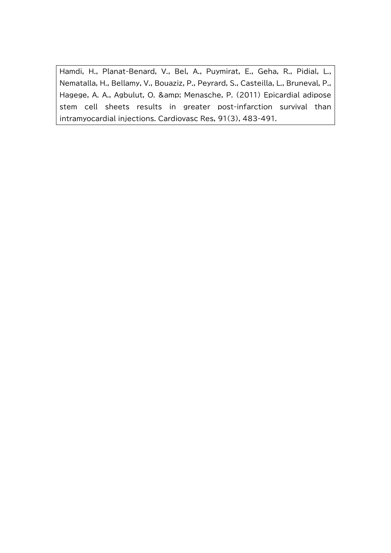Hamdi, H., Planat-Benard, V., Bel, A., Puymirat, E., Geha, R., Pidial, L., Nematalla, H., Bellamy, V., Bouaziz, P., Peyrard, S., Casteilla, L., Bruneval, P., Hagege, A. A., Agbulut, O. & amp; Menasche, P. (2011) Epicardial adipose stem cell sheets results in greater post-infarction survival than intramyocardial injections. Cardiovasc Res, 91(3), 483-491.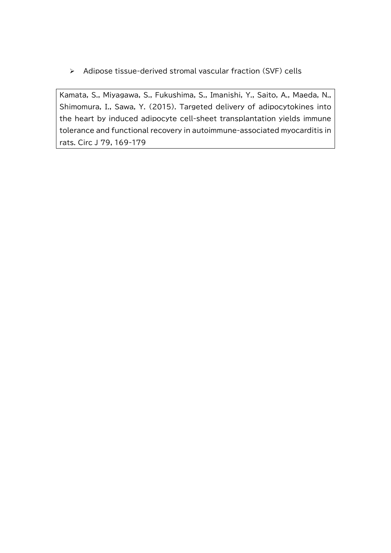Adipose tissue-derived stromal vascular fraction (SVF) cells

Kamata, S., Miyagawa, S., Fukushima, S., Imanishi, Y., Saito, A., Maeda, N., Shimomura, I., Sawa, Y. (2015). Targeted delivery of adipocytokines into the heart by induced adipocyte cell-sheet transplantation yields immune tolerance and functional recovery in autoimmune-associated myocarditis in rats. Circ J 79, 169-179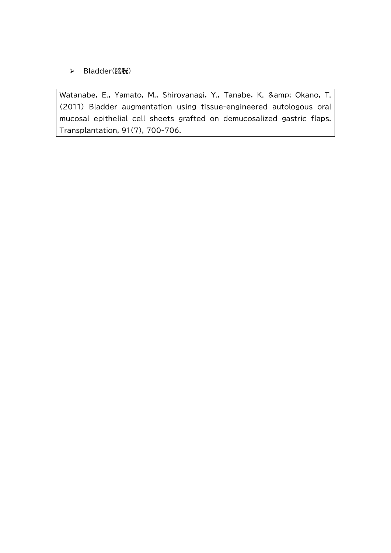Bladder(膀胱)

Watanabe, E., Yamato, M., Shiroyanagi, Y., Tanabe, K. & amp; Okano, T. (2011) Bladder augmentation using tissue-engineered autologous oral mucosal epithelial cell sheets grafted on demucosalized gastric flaps. Transplantation, 91(7), 700-706.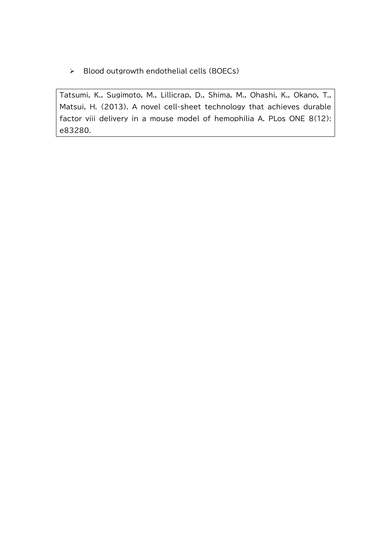$\triangleright$  Blood outgrowth endothelial cells (BOECs)

Tatsumi, K., Sugimoto, M., Lillicrap, D., Shima, M., Ohashi, K., Okano, T., Matsui, H. (2013). A novel cell-sheet technology that achieves durable factor viii delivery in a mouse model of hemophilia A. PLos ONE 8(12): e83280.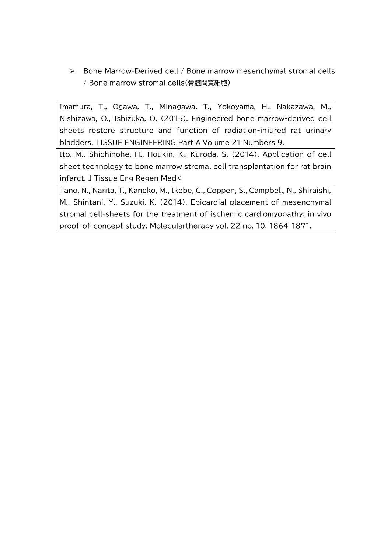Bone Marrow-Derived cell / Bone marrow mesenchymal stromal cells / Bone marrow stromal cells(骨髄間質細胞)

Imamura, T., Ogawa, T., Minagawa, T., Yokoyama, H., Nakazawa, M., Nishizawa, O., Ishizuka, O. (2015). Engineered bone marrow-derived cell sheets restore structure and function of radiation-injured rat urinary bladders. TISSUE ENGINEERING Part A Volume 21 Numbers 9,

Ito, M., Shichinohe, H., Houkin, K., Kuroda, S. (2014). Application of cell sheet technology to bone marrow stromal cell transplantation for rat brain infarct. J Tissue Eng Regen Med<

Tano, N., Narita, T., Kaneko, M., Ikebe, C., Coppen, S., Campbell, N., Shiraishi, M., Shintani, Y., Suzuki, K. (2014). Epicardial placement of mesenchymal stromal cell-sheets for the treatment of ischemic cardiomyopathy; in vivo proof-of-concept study. Moleculartherapy vol. 22 no. 10, 1864-1871.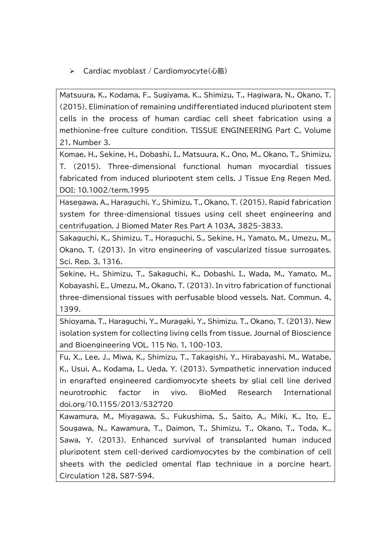> Cardiac myoblast / Cardiomyocyte(心筋)

Matsuura, K., Kodama, F., Sugiyama, K., Shimizu, T., Hagiwara, N., Okano, T. (2015). Elimination of remaining undifferentiated induced pluripotent stem cells in the process of human cardiac cell sheet fabrication using a methionine-free culture condition. TISSUE ENGINEERING Part C, Volume 21, Number 3.

Komae, H., Sekine, H., Dobashi, I., Matsuura, K., Ono, M., Okano, T., Shimizu, T. (2015). Three-dimensional functional human myocardial tissues fabricated from induced pluripotent stem cells. J Tissue Eng Regen Med. DOI: 10.1002/term.1995

Hasegawa, A., Haraguchi, Y., Shimizu, T., Okano, T. (2015). Rapid fabrication system for three-dimensional tissues using cell sheet engineering and centrifugation. J Biomed Mater Res Part A 103A, 3825-3833.

Sakaguchi, K., Shimizu, T., Horaguchi, S., Sekine, H., Yamato, M., Umezu, M., Okano, T. (2013). In vitro engineering of vascularized tissue surrogates. Sci. Rep. 3, 1316.

Sekine, H., Shimizu, T., Sakaguchi, K., Dobashi, I., Wada, M., Yamato, M., Kobayashi, E., Umezu, M., Okano, T. (2013). In vitro fabrication of functional three-dimensional tissues with perfusable blood vessels. Nat. Commun. 4, 1399.

Shioyama, T., Haraguchi, Y., Muragaki, Y., Shimizu, T., Okano, T. (2013). New isolation system for collecting living cells from tissue. Journal of Bioscience and Bioengineering VOL. 115 No. 1, 100-103.

Fu, X., Lee, J., Miwa, K., Shimizu, T., Takagishi, Y., Hirabayashi, M., Watabe, K., Usui, A., Kodama, I., Ueda, Y. (2013). Sympathetic innervation induced in engrafted engineered cardiomyocyte sheets by glial cell line derived neurotrophic factor in vivo. BioMed Research International doi.org/10.1155/2013/532720

Kawamura, M., Miyagawa, S., Fukushima, S., Saito, A., Miki, K., Ito, E., Sougawa, N., Kawamura, T., Daimon, T., Shimizu, T., Okano, T., Toda, K., Sawa, Y. (2013). Enhanced survival of transplanted human induced pluripotent stem cell-derived cardiomyocytes by the combination of cell sheets with the pedicled omental flap technique in a porcine heart. Circulation 128, S87-S94.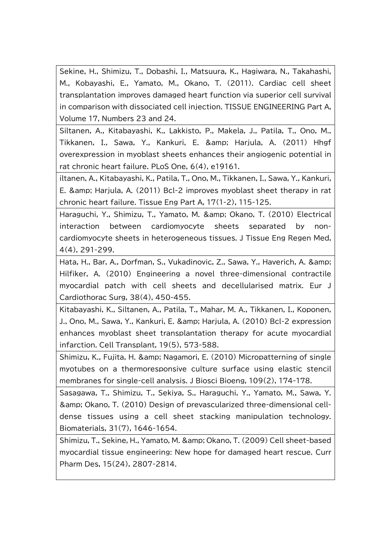Sekine, H., Shimizu, T., Dobashi, I., Matsuura, K., Hagiwara, N., Takahashi, M., Kobayashi, E., Yamato, M., Okano, T. (2011). Cardiac cell sheet transplantation improves damaged heart function via superior cell survival in comparison with dissociated cell injection. TISSUE ENGINEERING Part A, Volume 17, Numbers 23 and 24.

Siltanen, A., Kitabayashi, K., Lakkisto, P., Makela, J., Patila, T., Ono, M., Tikkanen, I., Sawa, Y., Kankuri, E. & amp; Harjula, A. (2011) Hhgf overexpression in myoblast sheets enhances their angiogenic potential in rat chronic heart failure. PLoS One, 6(4), e19161.

iltanen, A., Kitabayashi, K., Patila, T., Ono, M., Tikkanen, I., Sawa, Y., Kankuri, E. & amp; Harjula, A. (2011) Bcl-2 improves myoblast sheet therapy in rat chronic heart failure. Tissue Eng Part A, 17(1-2), 115-125.

Haraguchi, Y., Shimizu, T., Yamato, M. & amp; Okano, T. (2010) Electrical interaction between cardiomyocyte sheets separated by noncardiomyocyte sheets in heterogeneous tissues. J Tissue Eng Regen Med, 4(4), 291-299.

Hata, H., Bar, A., Dorfman, S., Vukadinovic, Z., Sawa, Y., Haverich, A. & Hilfiker, A. (2010) Engineering a novel three-dimensional contractile myocardial patch with cell sheets and decellularised matrix. Eur J Cardiothorac Surg, 38(4), 450-455.

Kitabayashi, K., Siltanen, A., Patila, T., Mahar, M. A., Tikkanen, I., Koponen, J., Ono, M., Sawa, Y., Kankuri, E. & amp; Harjula, A. (2010) Bcl-2 expression enhances myoblast sheet transplantation therapy for acute myocardial infarction. Cell Transplant, 19(5), 573-588.

Shimizu, K., Fujita, H. & amp: Nagamori, E. (2010) Micropatterning of single myotubes on a thermoresponsive culture surface using elastic stencil membranes for single-cell analysis. J Biosci Bioeng, 109(2), 174-178.

Sasagawa, T., Shimizu, T., Sekiya, S., Haraguchi, Y., Yamato, M., Sawa, Y. & Okano, T. (2010) Design of prevascularized three-dimensional celldense tissues using a cell sheet stacking manipulation technology. Biomaterials, 31(7), 1646-1654.

Shimizu, T., Sekine, H., Yamato, M. & amp; Okano, T. (2009) Cell sheet-based myocardial tissue engineering: New hope for damaged heart rescue. Curr Pharm Des, 15(24), 2807-2814.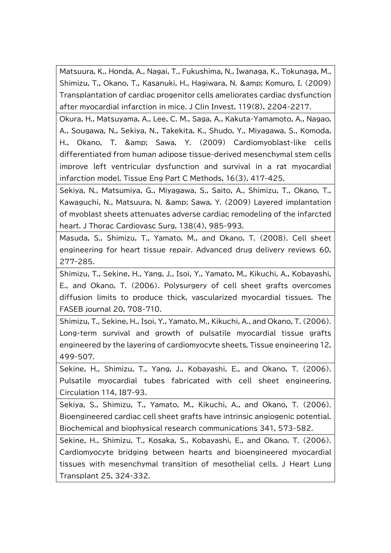Matsuura, K., Honda, A., Nagai, T., Fukushima, N., Iwanaga, K., Tokunaga, M., Shimizu, T., Okano, T., Kasanuki, H., Hagiwara, N. & amp; Komuro, I. (2009) Transplantation of cardiac progenitor cells ameliorates cardiac dysfunction after myocardial infarction in mice. J Clin Invest, 119(8), 2204-2217.

Okura, H., Matsuyama, A., Lee, C. M., Saga, A., Kakuta-Yamamoto, A., Nagao, A., Sougawa, N., Sekiya, N., Takekita, K., Shudo, Y., Miyagawa, S., Komoda, H., Okano, T. & amp; Sawa, Y. (2009) Cardiomyoblast-like cells differentiated from human adipose tissue-derived mesenchymal stem cells improve left ventricular dysfunction and survival in a rat myocardial infarction model. Tissue Eng Part C Methods, 16(3), 417-425.

Sekiya, N., Matsumiya, G., Miyagawa, S., Saito, A., Shimizu, T., Okano, T., Kawaguchi, N., Matsuura, N. & amp; Sawa, Y. (2009) Layered implantation of myoblast sheets attenuates adverse cardiac remodeling of the infarcted heart. J Thorac Cardiovasc Surg, 138(4), 985-993.

Masuda, S., Shimizu, T., Yamato, M., and Okano, T. (2008). Cell sheet engineering for heart tissue repair. Advanced drug delivery reviews 60, 277-285.

Shimizu, T., Sekine, H., Yang, J., Isoi, Y., Yamato, M., Kikuchi, A., Kobayashi, E., and Okano, T. (2006). Polysurgery of cell sheet grafts overcomes diffusion limits to produce thick, vascularized myocardial tissues. The FASEB journal 20, 708-710.

Shimizu, T., Sekine, H., Isoi, Y., Yamato, M., Kikuchi, A., and Okano, T. (2006). Long-term survival and growth of pulsatile myocardial tissue grafts engineered by the layering of cardiomyocyte sheets. Tissue engineering 12, 499-507.

Sekine, H., Shimizu, T., Yang, J., Kobayashi, E., and Okano, T. (2006). Pulsatile myocardial tubes fabricated with cell sheet engineering. Circulation 114, I87-93.

Sekiya, S., Shimizu, T., Yamato, M., Kikuchi, A., and Okano, T. (2006). Bioengineered cardiac cell sheet grafts have intrinsic angiogenic potential. Biochemical and biophysical research communications 341, 573-582.

Sekine, H., Shimizu, T., Kosaka, S., Kobayashi, E., and Okano, T. (2006). Cardiomyocyte bridging between hearts and bioengineered myocardial tissues with mesenchymal transition of mesothelial cells. J Heart Lung Transplant 25, 324-332.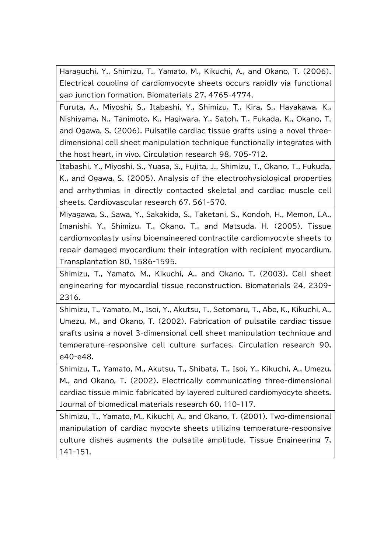Haraguchi, Y., Shimizu, T., Yamato, M., Kikuchi, A., and Okano, T. (2006). Electrical coupling of cardiomyocyte sheets occurs rapidly via functional gap junction formation. Biomaterials 27, 4765-4774.

Furuta, A., Miyoshi, S., Itabashi, Y., Shimizu, T., Kira, S., Hayakawa, K., Nishiyama, N., Tanimoto, K., Hagiwara, Y., Satoh, T., Fukada, K., Okano, T. and Ogawa, S. (2006). Pulsatile cardiac tissue grafts using a novel threedimensional cell sheet manipulation technique functionally integrates with the host heart, in vivo. Circulation research 98, 705-712.

Itabashi, Y., Miyoshi, S., Yuasa, S., Fujita, J., Shimizu, T., Okano, T., Fukuda, K., and Ogawa, S. (2005). Analysis of the electrophysiological properties and arrhythmias in directly contacted skeletal and cardiac muscle cell sheets. Cardiovascular research 67, 561-570.

Miyagawa, S., Sawa, Y., Sakakida, S., Taketani, S., Kondoh, H., Memon, I.A., Imanishi, Y., Shimizu, T., Okano, T., and Matsuda, H. (2005). Tissue cardiomyoplasty using bioengineered contractile cardiomyocyte sheets to repair damaged myocardium: their integration with recipient myocardium. Transplantation 80, 1586-1595.

Shimizu, T., Yamato, M., Kikuchi, A., and Okano, T. (2003). Cell sheet engineering for myocardial tissue reconstruction. Biomaterials 24, 2309- 2316.

Shimizu, T., Yamato, M., Isoi, Y., Akutsu, T., Setomaru, T., Abe, K., Kikuchi, A., Umezu, M., and Okano, T. (2002). Fabrication of pulsatile cardiac tissue grafts using a novel 3-dimensional cell sheet manipulation technique and temperature-responsive cell culture surfaces. Circulation research 90, e40-e48.

Shimizu, T., Yamato, M., Akutsu, T., Shibata, T., Isoi, Y., Kikuchi, A., Umezu, M., and Okano, T. (2002). Electrically communicating three-dimensional cardiac tissue mimic fabricated by layered cultured cardiomyocyte sheets. Journal of biomedical materials research 60, 110-117.

Shimizu, T., Yamato, M., Kikuchi, A., and Okano, T. (2001). Two-dimensional manipulation of cardiac myocyte sheets utilizing temperature-responsive culture dishes augments the pulsatile amplitude. Tissue Engineering 7, 141-151.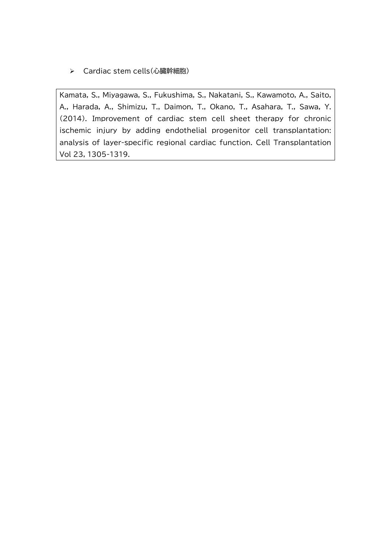Cardiac stem cells(心臓幹細胞)

Kamata, S., Miyagawa, S., Fukushima, S., Nakatani, S., Kawamoto, A., Saito, A., Harada, A., Shimizu, T., Daimon, T., Okano, T., Asahara, T., Sawa, Y. (2014). Improvement of cardiac stem cell sheet therapy for chronic ischemic injury by adding endothelial progenitor cell transplantation: analysis of layer-specific regional cardiac function. Cell Transplantation Vol 23, 1305-1319.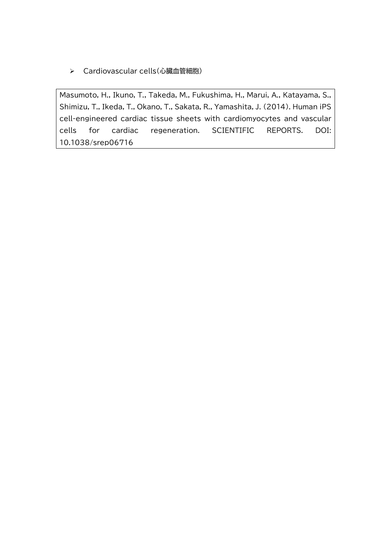Cardiovascular cells(心臓血管細胞)

Masumoto, H., Ikuno, T., Takeda, M., Fukushima, H., Marui, A., Katayama, S., Shimizu, T., Ikeda, T., Okano, T., Sakata, R., Yamashita, J. (2014). Human iPS cell-engineered cardiac tissue sheets with cardiomyocytes and vascular cells for cardiac regeneration. SCIENTIFIC REPORTS. DOI: 10.1038/srep06716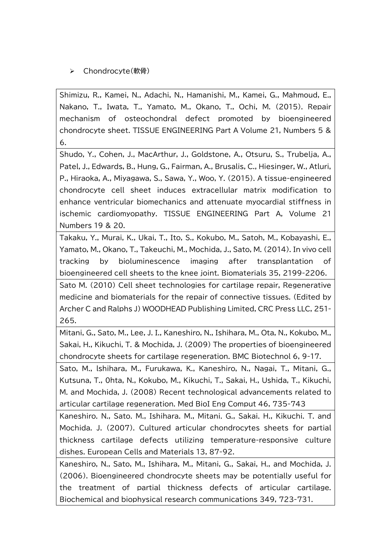# > Chondrocyte(軟骨)

Shimizu, R., Kamei, N., Adachi, N., Hamanishi, M., Kamei, G., Mahmoud, E., Nakano, T., Iwata, T., Yamato, M., Okano, T., Ochi, M. (2015). Repair mechanism of osteochondral defect promoted by bioengineered chondrocyte sheet. TISSUE ENGINEERING Part A Volume 21, Numbers 5 & 6.

Shudo, Y., Cohen, J., MacArthur, J., Goldstone, A., Otsuru, S., Trubelja, A., Patel, J., Edwards, B., Hung, G., Fairman, A., Brusalis, C., Hiesinger, W., Atluri, P., Hiraoka, A., Miyagawa, S., Sawa, Y., Woo, Y. (2015). A tissue-engineered chondrocyte cell sheet induces extracellular matrix modification to enhance ventricular biomechanics and attenuate myocardial stiffness in ischemic cardiomyopathy. TISSUE ENGINEERING Part A, Volume 21 Numbers 19 & 20.

Takaku, Y., Murai, K., Ukai, T., Ito, S., Kokubo, M., Satoh, M., Kobayashi, E., Yamato, M., Okano, T., Takeuchi, M., Mochida, J., Sato, M. (2014). In vivo cell tracking by bioluminescence imaging after transplantation of bioengineered cell sheets to the knee joint. Biomaterials 35, 2199-2206.

Sato M. (2010) Cell sheet technologies for cartilage repair, Regenerative medicine and biomaterials for the repair of connective tissues. (Edited by Archer C and Ralphs J) WOODHEAD Publishing Limited, CRC Press LLC, 251- 265.

Mitani, G., Sato, M., Lee, J. I., Kaneshiro, N., Ishihara, M., Ota, N., Kokubo, M., Sakai, H., Kikuchi, T. & Mochida, J. (2009) The properties of bioengineered chondrocyte sheets for cartilage regeneration. BMC Biotechnol 6, 9-17.

Sato, M., lshihara, M., Furukawa, K., Kaneshiro, N., Nagai, T., Mitani, G., Kutsuna, T., 0hta, N., Kokubo, M., Kikuchi, T., Sakai, H., Ushida, T., Kikuchi, M. and Mochida, J. (2008) Recent technological advancements related to articular cartilage regeneration. Med BioI Eng Comput 46, 735-743

Kaneshiro. N., Sato. M., Ishihara. M., Mitani. G., Sakai. H., Kikuchi. T. and Mochida. J. (2007). Cultured articular chondrocytes sheets for partial thickness cartilage defects utilizing temperature-responsive culture dishes. European Cells and Materials 13, 87-92.

Kaneshiro, N., Sato, M., Ishihara, M., Mitani, G., Sakai, H., and Mochida, J. (2006). Bioengineered chondrocyte sheets may be potentially useful for the treatment of partial thickness defects of articular cartilage. Biochemical and biophysical research communications 349, 723-731.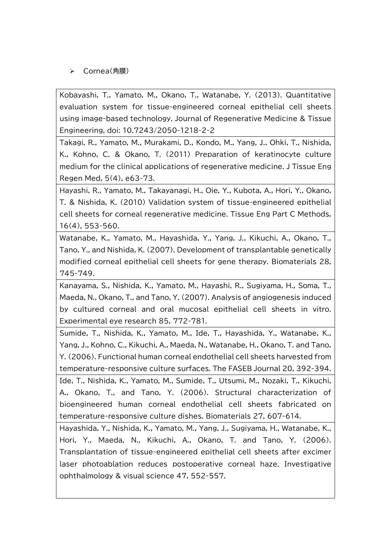## Cornea(角膜)

Kobayashi, T., Yamato, M., Okano, T., Watanabe, Y. (2013). Quantitative evaluation system for tissue-engineered corneal epithelial cell sheets using image-based technology. Journal of Regenerative Medicine & Tissue Engineering, doi: 10.7243/2050-1218-2-2

Takagi, R., Yamato, M., Murakami, D., Kondo, M., Yang, J., Ohki, T., Nishida, K., Kohno, C. & Okano, T. (2011) Preparation of keratinocyte culture medium for the clinical applications of regenerative medicine. J Tissue Eng Regen Med, 5(4), e63-73.

Hayashi, R., Yamato, M., Takayanagi, H., Oie, Y., Kubota, A., Hori, Y., Okano, T. & Nishida, K. (2010) Validation system of tissue-engineered epithelial cell sheets for corneal regenerative medicine. Tissue Eng Part C Methods, 16(4), 553-560.

Watanabe, K., Yamato, M., Hayashida, Y., Yang, J., Kikuchi, A., Okano, T., Tano, Y., and Nishida, K. (2007). Development of transplantable genetically modified corneal epithelial cell sheets for gene therapy. Biomaterials 28, 745-749.

Kanayama, S., Nishida, K., Yamato, M., Hayashi, R., Sugiyama, H., Soma, T., Maeda, N., Okano, T., and Tano, Y. (2007). Analysis of angiogenesis induced by cultured corneal and oral mucosal epithelial cell sheets in vitro. Experimental eye research 85, 772-781.

Sumide, T., Nishida, K., Yamato, M., Ide, T., Hayashida, Y., Watanabe, K., Yang, J., Kohno, C., Kikuchi, A., Maeda, N., Watanabe, H., Okano, T. and Tano, Y. (2006). Functional human corneal endothelial cell sheets harvested from temperature-responsive culture surfaces. The FASEB Journal 20, 392-394. Ide, T., Nishida, K., Yamato, M., Sumide, T., Utsumi, M., Nozaki, T., Kikuchi, A., Okano, T., and Tano, Y. (2006). Structural characterization of

bioengineered human corneal endothelial cell sheets fabricated on temperature-responsive culture dishes. Biomaterials 27, 607-614.

Hayashida, Y., Nishida, K., Yamato, M., Yang, J., Sugiyama, H., Watanabe, K., Hori, Y., Maeda, N., Kikuchi, A., Okano, T. and Tano, Y. (2006). Transplantation of tissue-engineered epithelial cell sheets after excimer laser photoablation reduces postoperative corneal haze. Investigative ophthalmology & visual science 47, 552-557.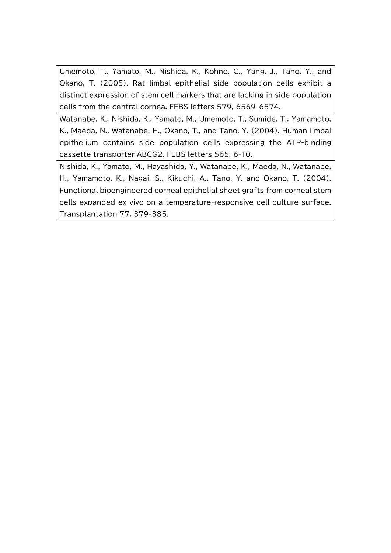Umemoto, T., Yamato, M., Nishida, K., Kohno, C., Yang, J., Tano, Y., and Okano, T. (2005). Rat limbal epithelial side population cells exhibit a distinct expression of stem cell markers that are lacking in side population cells from the central cornea. FEBS letters 579, 6569-6574.

Watanabe, K., Nishida, K., Yamato, M., Umemoto, T., Sumide, T., Yamamoto, K., Maeda, N., Watanabe, H., Okano, T., and Tano, Y. (2004). Human limbal epithelium contains side population cells expressing the ATP-binding cassette transporter ABCG2. FEBS letters 565, 6-10.

Nishida, K., Yamato, M., Hayashida, Y., Watanabe, K., Maeda, N., Watanabe, H., Yamamoto, K., Nagai, S., Kikuchi, A., Tano, Y. and Okano, T. (2004). Functional bioengineered corneal epithelial sheet grafts from corneal stem cells expanded ex vivo on a temperature-responsive cell culture surface. Transplantation 77, 379-385.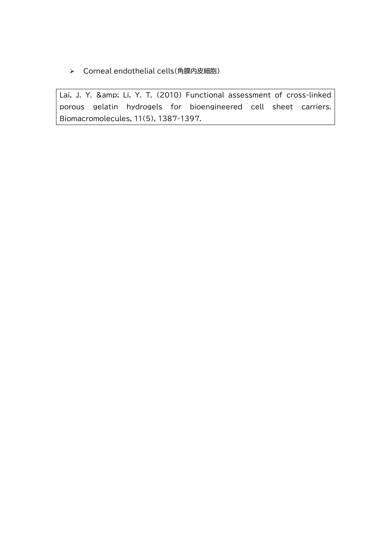> Corneal endothelial cells(角膜内皮細胞)

Lai, J. Y. & amp; Li, Y. T. (2010) Functional assessment of cross-linked porous gelatin hydrogels for bioengineered cell sheet carriers. Biomacromolecules, 11(5), 1387-1397.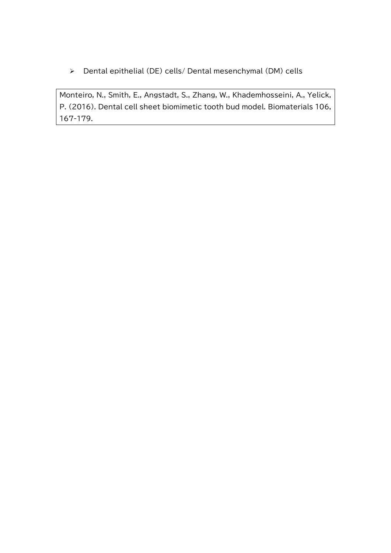Dental epithelial (DE) cells/ Dental mesenchymal (DM) cells

Monteiro, N., Smith, E., Angstadt, S., Zhang, W., Khademhosseini, A., Yelick, P. (2016). Dental cell sheet biomimetic tooth bud model. Biomaterials 106, 167-179.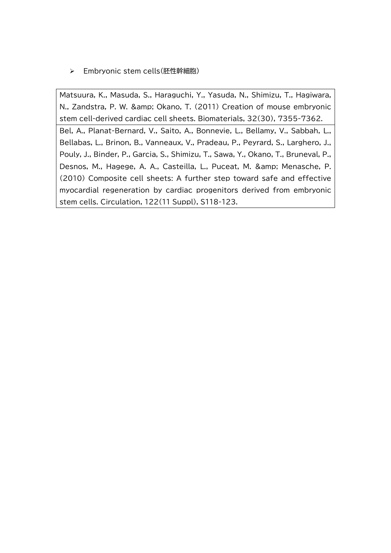Embryonic stem cells(胚性幹細胞)

Matsuura, K., Masuda, S., Haraguchi, Y., Yasuda, N., Shimizu, T., Hagiwara, N., Zandstra, P. W. & amp; Okano, T. (2011) Creation of mouse embryonic stem cell-derived cardiac cell sheets. Biomaterials, 32(30), 7355-7362.

Bel, A., Planat-Bernard, V., Saito, A., Bonnevie, L., Bellamy, V., Sabbah, L., Bellabas, L., Brinon, B., Vanneaux, V., Pradeau, P., Peyrard, S., Larghero, J., Pouly, J., Binder, P., Garcia, S., Shimizu, T., Sawa, Y., Okano, T., Bruneval, P., Desnos, M., Hagege, A. A., Casteilla, L., Puceat, M. & amp; Menasche, P. (2010) Composite cell sheets: A further step toward safe and effective myocardial regeneration by cardiac progenitors derived from embryonic stem cells. Circulation, 122(11 Suppl), S118-123.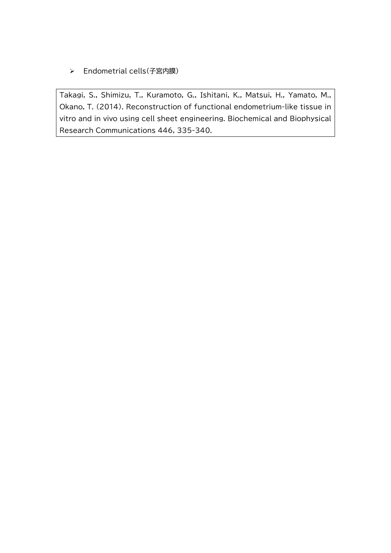Endometrial cells(子宮内膜)

Takagi, S., Shimizu, T., Kuramoto, G., Ishitani, K., Matsui, H., Yamato, M., Okano, T. (2014). Reconstruction of functional endometrium-like tissue in vitro and in vivo using cell sheet engineering. Biochemical and Biophysical Research Communications 446, 335-340.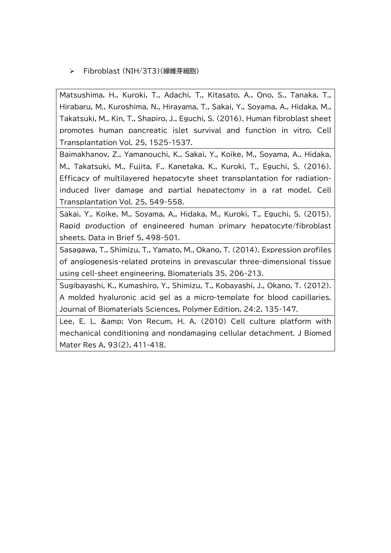Fibroblast (NIH/3T3)(線維芽細胞)

Matsushima, H., Kuroki, T., Adachi, T., Kitasato, A., Ono, S., Tanaka, T., Hirabaru, M., Kuroshima, N., Hirayama, T., Sakai, Y., Soyama, A., Hidaka, M., Takatsuki, M., Kin, T., Shapiro, J., Eguchi, S. (2016). Human fibroblast sheet promotes human pancreatic islet survival and function in vitro. Cell Transplantation Vol. 25, 1525-1537.

Baimakhanov, Z., Yamanouchi, K., Sakai, Y., Koike, M., Soyama, A., Hidaka, M., Takatsuki, M., Fujita, F., Kanetaka, K., Kuroki, T., Eguchi, S. (2016). Efficacy of multilayered hepatocyte sheet transplantation for radiationinduced liver damage and partial hepatectomy in a rat model. Cell Transplantation Vol. 25, 549-558.

Sakai, Y., Koike, M., Soyama, A., Hidaka, M., Kuroki, T., Eguchi, S. (2015). Rapid production of engineered human primary hepatocyte/fibroblast sheets. Data in Brief 5, 498-501.

Sasagawa, T., Shimizu, T., Yamato, M., Okano, T. (2014). Expression profiles of angiogenesis-related proteins in prevascular three-dimensional tissue using cell-sheet engineering. Biomaterials 35, 206-213.

Sugibayashi, K., Kumashiro, Y., Shimizu, T., Kobayashi, J., Okano, T. (2012). A molded hyaluronic acid gel as a micro-template for blood capillaries. Journal of Biomaterials Sciences, Polymer Edition, 24:2, 135-147.

Lee, E. L. & amp; Von Recum, H. A. (2010) Cell culture platform with mechanical conditioning and nondamaging cellular detachment. J Biomed Mater Res A, 93(2), 411-418.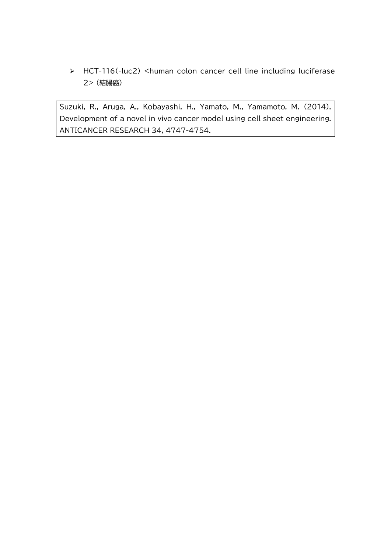HCT-116(-luc2) <human colon cancer cell line including luciferase 2> (結腸癌)

Suzuki, R., Aruga, A., Kobayashi, H., Yamato, M., Yamamoto, M. (2014). Development of a novel in vivo cancer model using cell sheet engineering. ANTICANCER RESEARCH 34, 4747-4754.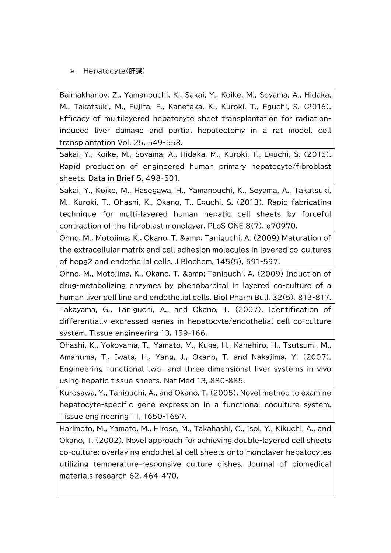#### > Hepatocyte(肝臓)

Baimakhanov, Z., Yamanouchi, K., Sakai, Y., Koike, M., Soyama, A., Hidaka, M., Takatsuki, M., Fujita, F., Kanetaka, K., Kuroki, T., Eguchi, S. (2016). Efficacy of multilayered hepatocyte sheet transplantation for radiationinduced liver damage and partial hepatectomy in a rat model. cell transplantation Vol. 25, 549-558.

Sakai, Y., Koike, M., Soyama, A., Hidaka, M., Kuroki, T., Eguchi, S. (2015). Rapid production of engineered human primary hepatocyte/fibroblast sheets. Data in Brief 5, 498-501.

Sakai, Y., Koike, M., Hasegawa, H., Yamanouchi, K., Soyama, A., Takatsuki, M., Kuroki, T., Ohashi, K., Okano, T., Eguchi, S. (2013). Rapid fabricating technique for multi-layered human hepatic cell sheets by forceful contraction of the fibroblast monolayer. PLoS ONE 8(7), e70970.

Ohno, M., Motojima, K., Okano, T. & Taniguchi, A. (2009) Maturation of the extracellular matrix and cell adhesion molecules in layered co-cultures of hepg2 and endothelial cells. J Biochem, 145(5), 591-597.

Ohno, M., Motojima, K., Okano, T. & Taniguchi, A. (2009) Induction of drug-metabolizing enzymes by phenobarbital in layered co-culture of a human liver cell line and endothelial cells. Biol Pharm Bull, 32(5), 813-817.

Takayama, G., Taniguchi, A., and Okano, T. (2007). Identification of differentially expressed genes in hepatocyte/endothelial cell co-culture system. Tissue engineering 13, 159-166.

Ohashi, K., Yokoyama, T., Yamato, M., Kuge, H., Kanehiro, H., Tsutsumi, M., Amanuma, T., Iwata, H., Yang, J., Okano, T. and Nakajima, Y. (2007). Engineering functional two- and three-dimensional liver systems in vivo using hepatic tissue sheets. Nat Med 13, 880-885.

Kurosawa, Y., Taniguchi, A., and Okano, T. (2005). Novel method to examine hepatocyte-specific gene expression in a functional coculture system. Tissue engineering 11, 1650-1657.

Harimoto, M., Yamato, M., Hirose, M., Takahashi, C., Isoi, Y., Kikuchi, A., and Okano, T. (2002). Novel approach for achieving double-layered cell sheets co-culture: overlaying endothelial cell sheets onto monolayer hepatocytes utilizing temperature-responsive culture dishes. Journal of biomedical materials research 62, 464-470.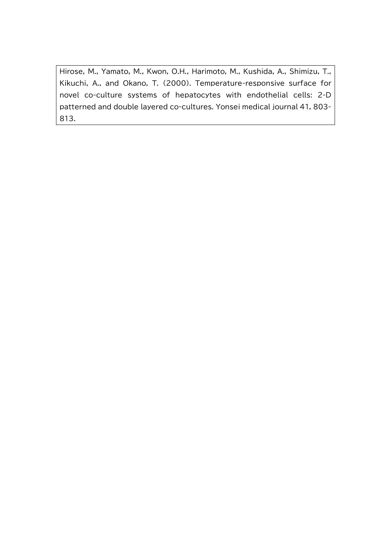Hirose, M., Yamato, M., Kwon, O.H., Harimoto, M., Kushida, A., Shimizu, T., Kikuchi, A., and Okano, T. (2000). Temperature-responsive surface for novel co-culture systems of hepatocytes with endothelial cells: 2-D patterned and double layered co-cultures. Yonsei medical journal 41, 803- 813.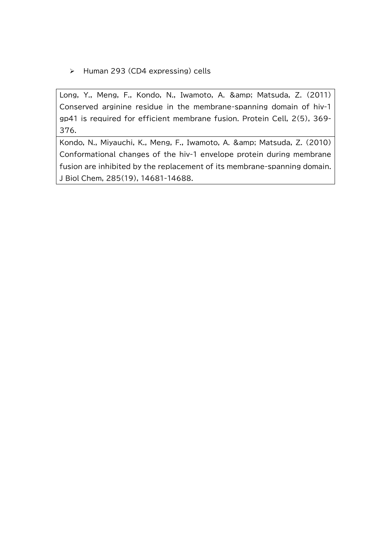$\triangleright$  Human 293 (CD4 expressing) cells

Long, Y., Meng, F., Kondo, N., Iwamoto, A. & amp; Matsuda, Z. (2011) Conserved arginine residue in the membrane-spanning domain of hiv-1 gp41 is required for efficient membrane fusion. Protein Cell, 2(5), 369- 376.

Kondo, N., Miyauchi, K., Meng, F., Iwamoto, A. & amp; Matsuda, Z. (2010) Conformational changes of the hiv-1 envelope protein during membrane fusion are inhibited by the replacement of its membrane-spanning domain. J Biol Chem, 285(19), 14681-14688.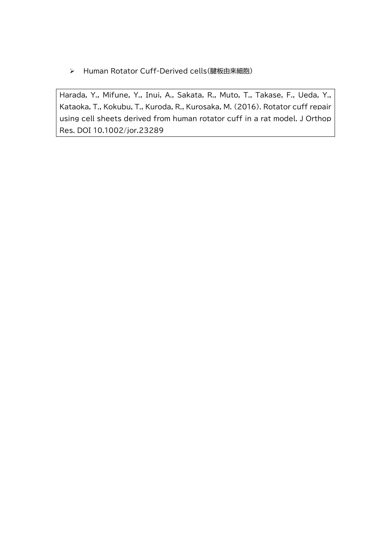> Human Rotator Cuff-Derived cells(腱板由来細胞)

Harada, Y., Mifune, Y., Inui, A., Sakata, R., Muto, T., Takase, F., Ueda, Y., Kataoka, T., Kokubu, T., Kuroda, R., Kurosaka, M. (2016). Rotator cuff repair using cell sheets derived from human rotator cuff in a rat model. J Orthop Res. DOI 10.1002/jor.23289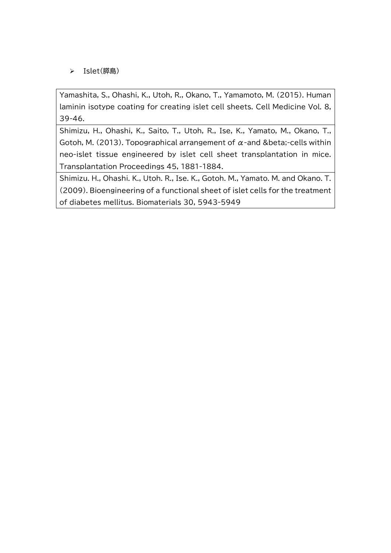Islet(膵島)

Yamashita, S., Ohashi, K., Utoh, R., Okano, T., Yamamoto, M. (2015). Human laminin isotype coating for creating islet cell sheets. Cell Medicine Vol. 8, 39-46.

Shimizu, H., Ohashi, K., Saito, T., Utoh, R., Ise, K., Yamato, M., Okano, T., Gotoh, M. (2013). Topographical arrangement of  $\alpha$ -and β-cells within neo-islet tissue engineered by islet cell sheet transplantation in mice. Transplantation Proceedings 45, 1881-1884.

Shimizu. H., Ohashi. K., Utoh. R., Ise. K., Gotoh. M., Yamato. M. and Okano. T. (2009). Bioengineering of a functional sheet of islet cells for the treatment of diabetes mellitus. Biomaterials 30, 5943-5949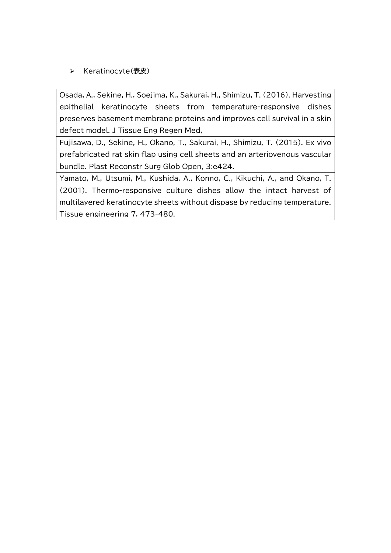## > Keratinocyte(表皮)

Osada, A., Sekine, H., Soejima, K., Sakurai, H., Shimizu, T. (2016). Harvesting epithelial keratinocyte sheets from temperature-responsive dishes preserves basement membrane proteins and improves cell survival in a skin defect model. J Tissue Eng Regen Med,

Fujisawa, D., Sekine, H., Okano, T., Sakurai, H., Shimizu, T. (2015). Ex vivo prefabricated rat skin flap using cell sheets and an arteriovenous vascular bundle. Plast Reconstr Surg Glob Open, 3:e424.

Yamato, M., Utsumi, M., Kushida, A., Konno, C., Kikuchi, A., and Okano, T. (2001). Thermo-responsive culture dishes allow the intact harvest of multilayered keratinocyte sheets without dispase by reducing temperature. Tissue engineering 7, 473-480.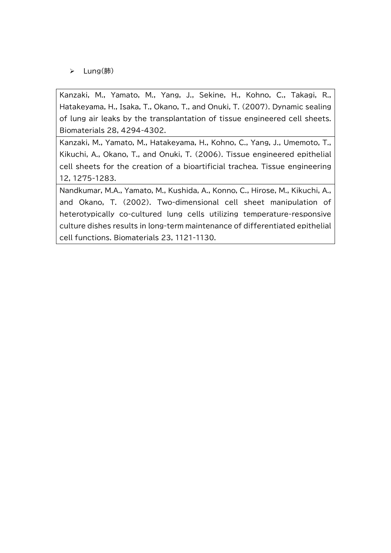Lung(肺)

Kanzaki, M., Yamato, M., Yang, J., Sekine, H., Kohno, C., Takagi, R., Hatakeyama, H., Isaka, T., Okano, T., and Onuki, T. (2007). Dynamic sealing of lung air leaks by the transplantation of tissue engineered cell sheets. Biomaterials 28, 4294-4302.

Kanzaki, M., Yamato, M., Hatakeyama, H., Kohno, C., Yang, J., Umemoto, T., Kikuchi, A., Okano, T., and Onuki, T. (2006). Tissue engineered epithelial cell sheets for the creation of a bioartificial trachea. Tissue engineering 12, 1275-1283.

Nandkumar, M.A., Yamato, M., Kushida, A., Konno, C., Hirose, M., Kikuchi, A., and Okano, T. (2002). Two-dimensional cell sheet manipulation of heterotypically co-cultured lung cells utilizing temperature-responsive culture dishes results in long-term maintenance of differentiated epithelial cell functions. Biomaterials 23, 1121-1130.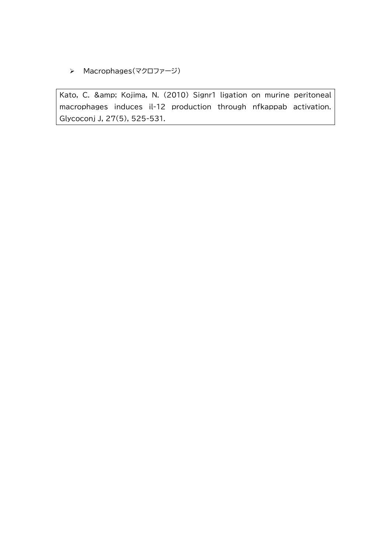> Macrophages(マクロファージ)

Kato, C. & amp; Kojima, N. (2010) Signr1 ligation on murine peritoneal macrophages induces il-12 production through nfkappab activation. Glycoconj J, 27(5), 525-531.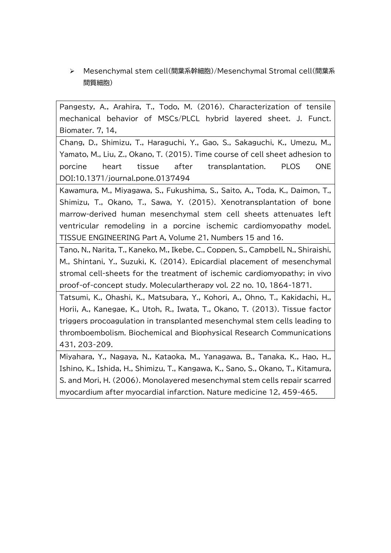Mesenchymal stem cell(間葉系幹細胞)/Mesenchymal Stromal cell(間葉系 間質細胞)

Pangesty, A., Arahira, T., Todo, M. (2016). Characterization of tensile mechanical behavior of MSCs/PLCL hybrid layered sheet. J. Funct. Biomater. 7, 14,

Chang, D., Shimizu, T., Haraguchi, Y., Gao, S., Sakaguchi, K., Umezu, M., Yamato, M., Liu, Z., Okano, T. (2015). Time course of cell sheet adhesion to porcine heart tissue after transplantation. PLOS ONE DOI:10.1371/journal.pone.0137494

Kawamura, M., Miyagawa, S., Fukushima, S., Saito, A., Toda, K., Daimon, T., Shimizu, T., Okano, T., Sawa, Y. (2015). Xenotransplantation of bone marrow-derived human mesenchymal stem cell sheets attenuates left ventricular remodeling in a porcine ischemic cardiomyopathy model. TISSUE ENGINEERING Part A, Volume 21, Numbers 15 and 16.

Tano, N., Narita, T., Kaneko, M., Ikebe, C., Coppen, S., Campbell, N., Shiraishi, M., Shintani, Y., Suzuki, K. (2014). Epicardial placement of mesenchymal stromal cell-sheets for the treatment of ischemic cardiomyopathy; in vivo proof-of-concept study. Moleculartherapy vol. 22 no. 10, 1864-1871.

Tatsumi, K., Ohashi, K., Matsubara, Y., Kohori, A., Ohno, T., Kakidachi, H., Horii, A., Kanegae, K., Utoh, R., Iwata, T., Okano, T. (2013). Tissue factor triggers procoagulation in transplanted mesenchymal stem cells leading to thromboembolism. Biochemical and Biophysical Research Communications 431, 203-209.

Miyahara, Y., Nagaya, N., Kataoka, M., Yanagawa, B., Tanaka, K., Hao, H., Ishino, K., Ishida, H., Shimizu, T., Kangawa, K., Sano, S., Okano, T., Kitamura, S. and Mori, H. (2006). Monolayered mesenchymal stem cells repair scarred myocardium after myocardial infarction. Nature medicine 12, 459-465.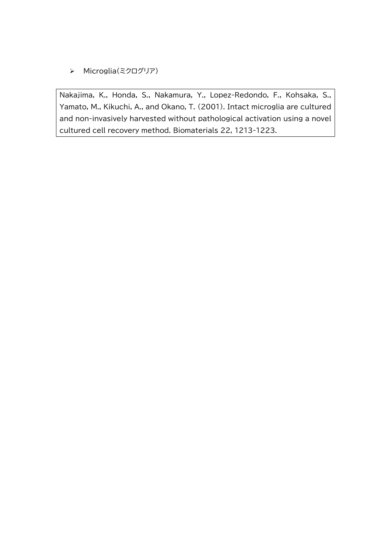> Microglia(ミクログリア)

Nakajima, K., Honda, S., Nakamura, Y., Lopez-Redondo, F., Kohsaka, S., Yamato, M., Kikuchi, A., and Okano, T. (2001). Intact microglia are cultured and non-invasively harvested without pathological activation using a novel cultured cell recovery method. Biomaterials 22, 1213-1223.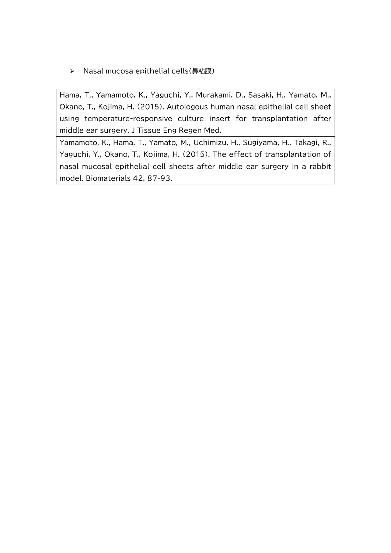> Nasal mucosa epithelial cells(鼻粘膜)

Hama, T., Yamamoto, K., Yaguchi, Y., Murakami, D., Sasaki, H., Yamato, M., Okano, T., Kojima, H. (2015). Autologous human nasal epithelial cell sheet using temperature-responsive culture insert for transplantation after middle ear surgery. J Tissue Eng Regen Med.

Yamamoto, K., Hama, T., Yamato, M., Uchimizu, H., Sugiyama, H., Takagi, R., Yaguchi, Y., Okano, T., Kojima, H. (2015). The effect of transplantation of nasal mucosal epithelial cell sheets after middle ear surgery in a rabbit model. Biomaterials 42, 87-93.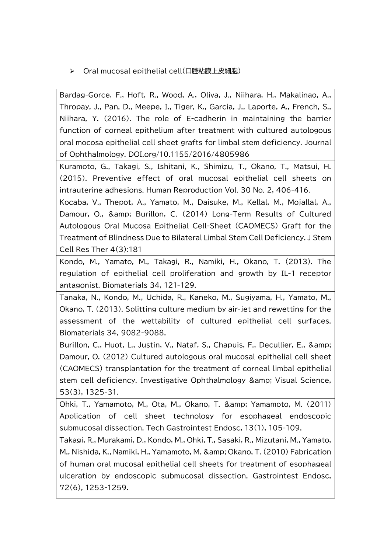> Oral mucosal epithelial cell(口腔粘膜上皮細胞)

Bardag-Gorce, F., Hoft, R., Wood, A., Oliva, J., Niihara, H., Makalinao, A., Thropay, J., Pan, D., Meepe, I., Tiger, K., Garcia, J., Laporte, A., French, S., Niihara, Y. (2016). The role of E-cadherin in maintaining the barrier function of corneal epithelium after treatment with cultured autologous oral mocosa epithelial cell sheet grafts for limbal stem deficiency. Journal of Ophthalmology. DOI.org/10.1155/2016/4805986

Kuramoto, G., Takagi, S., Ishitani, K., Shimizu, T., Okano, T., Matsui, H. (2015). Preventive effect of oral mucosal epithelial cell sheets on intrauterine adhesions. Human Reproduction Vol. 30 No. 2, 406-416.

Kocaba, V., Thepot, A., Yamato, M., Daisuke, M., Kellal, M., Mojallal, A., Damour, O., & amp; Burillon, C. (2014) Long-Term Results of Cultured Autologous Oral Mucosa Epithelial Cell-Sheet (CAOMECS) Graft for the Treatment of Blindness Due to Bilateral Limbal Stem Cell Deficiency. J Stem Cell Res Ther 4(3):181

Kondo, M., Yamato, M., Takagi, R., Namiki, H., Okano, T. (2013). The regulation of epithelial cell proliferation and growth by IL-1 receptor antagonist. Biomaterials 34, 121-129.

Tanaka, N., Kondo, M., Uchida, R., Kaneko, M., Sugiyama, H., Yamato, M., Okano, T. (2013). Splitting culture medium by air-jet and rewetting for the assessment of the wettability of cultured epithelial cell surfaces. Biomaterials 34, 9082-9088.

Burillon, C., Huot, L., Justin, V., Nataf, S., Chapuis, F., Decullier, E., & Damour, O. (2012) Cultured autologous oral mucosal epithelial cell sheet (CAOMECS) transplantation for the treatment of corneal limbal epithelial stem cell deficiency. Investigative Ophthalmology & amp; Visual Science, 53(3), 1325-31.

Ohki, T., Yamamoto, M., Ota, M., Okano, T. & amp; Yamamoto, M. (2011) Application of cell sheet technology for esophageal endoscopic submucosal dissection. Tech Gastrointest Endosc, 13(1), 105-109.

Takagi, R., Murakami, D., Kondo, M., Ohki, T., Sasaki, R., Mizutani, M., Yamato, M., Nishida, K., Namiki, H., Yamamoto, M. & amp; Okano, T. (2010) Fabrication of human oral mucosal epithelial cell sheets for treatment of esophageal ulceration by endoscopic submucosal dissection. Gastrointest Endosc, 72(6), 1253-1259.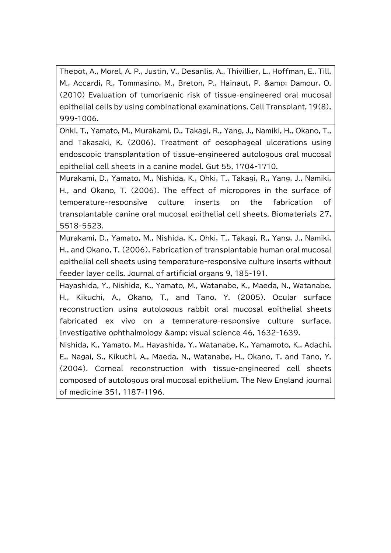Thepot, A., Morel, A. P., Justin, V., Desanlis, A., Thivillier, L., Hoffman, E., Till, M., Accardi, R., Tommasino, M., Breton, P., Hainaut, P. & amp; Damour, O. (2010) Evaluation of tumorigenic risk of tissue-engineered oral mucosal epithelial cells by using combinational examinations. Cell Transplant, 19(8), 999-1006.

Ohki, T., Yamato, M., Murakami, D., Takagi, R., Yang, J., Namiki, H., Okano, T., and Takasaki, K. (2006). Treatment of oesophageal ulcerations using endoscopic transplantation of tissue-engineered autologous oral mucosal epithelial cell sheets in a canine model. Gut 55, 1704-1710.

Murakami, D., Yamato, M., Nishida, K., Ohki, T., Takagi, R., Yang, J., Namiki, H., and Okano, T. (2006). The effect of micropores in the surface of temperature-responsive culture inserts on the fabrication of transplantable canine oral mucosal epithelial cell sheets. Biomaterials 27, 5518-5523.

Murakami, D., Yamato, M., Nishida, K., Ohki, T., Takagi, R., Yang, J., Namiki, H., and Okano, T. (2006). Fabrication of transplantable human oral mucosal epithelial cell sheets using temperature-responsive culture inserts without feeder layer cells. Journal of artificial organs 9, 185-191.

Hayashida, Y., Nishida, K., Yamato, M., Watanabe, K., Maeda, N., Watanabe, H., Kikuchi, A., Okano, T., and Tano, Y. (2005). Ocular surface reconstruction using autologous rabbit oral mucosal epithelial sheets fabricated ex vivo on a temperature-responsive culture surface. Investigative ophthalmology & amp; visual science 46, 1632-1639.

Nishida, K., Yamato, M., Hayashida, Y., Watanabe, K., Yamamoto, K., Adachi, E., Nagai, S., Kikuchi, A., Maeda, N., Watanabe, H., Okano, T. and Tano, Y. (2004). Corneal reconstruction with tissue-engineered cell sheets composed of autologous oral mucosal epithelium. The New England journal of medicine 351, 1187-1196.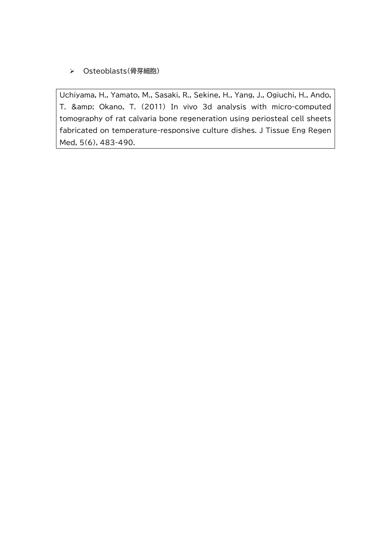## Osteoblasts(骨芽細胞)

Uchiyama, H., Yamato, M., Sasaki, R., Sekine, H., Yang, J., Ogiuchi, H., Ando, T. & amp; Okano, T. (2011) In vivo 3d analysis with micro-computed tomography of rat calvaria bone regeneration using periosteal cell sheets fabricated on temperature-responsive culture dishes. J Tissue Eng Regen Med, 5(6), 483-490.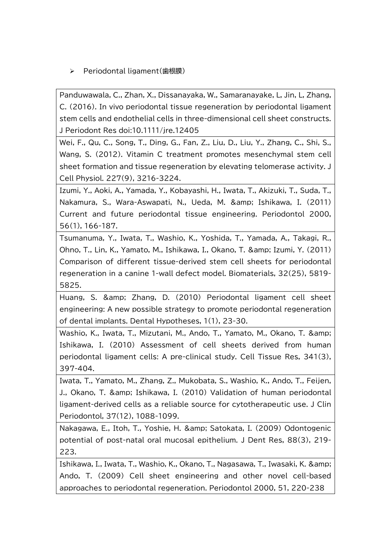▶ Periodontal ligament(歯根膜)

Panduwawala, C., Zhan, X., Dissanayaka, W., Samaranayake, L, Jin, L, Zhang, C. (2016). In vivo periodontal tissue regeneration by periodontal ligament stem cells and endothelial cells in three-dimensional cell sheet constructs. J Periodont Res doi:10.1111/jre.12405

Wei, F., Qu, C., Song, T., Ding, G., Fan, Z., Liu, D., Liu, Y., Zhang, C., Shi, S., Wang, S. (2012). Vitamin C treatment promotes mesenchymal stem cell sheet formation and tissue regeneration by elevating telomerase activity. J Cell Physiol. 227(9), 3216-3224.

Izumi, Y., Aoki, A., Yamada, Y., Kobayashi, H., Iwata, T., Akizuki, T., Suda, T., Nakamura, S., Wara-Aswapati, N., Ueda, M. & amp; Ishikawa, I. (2011) Current and future periodontal tissue engineering. Periodontol 2000, 56(1), 166-187.

Tsumanuma, Y., Iwata, T., Washio, K., Yoshida, T., Yamada, A., Takagi, R., Ohno, T., Lin, K., Yamato, M., Ishikawa, I., Okano, T. & Izumi, Y. (2011) Comparison of different tissue-derived stem cell sheets for periodontal regeneration in a canine 1-wall defect model. Biomaterials, 32(25), 5819- 5825.

Huang, S. & amp; Zhang, D. (2010) Periodontal ligament cell sheet engineering: A new possible strategy to promote periodontal regeneration of dental implants. Dental Hypotheses, 1(1), 23-30.

Washio, K., Iwata, T., Mizutani, M., Ando, T., Yamato, M., Okano, T. & Ishikawa, I. (2010) Assessment of cell sheets derived from human periodontal ligament cells: A pre-clinical study. Cell Tissue Res, 341(3), 397-404.

Iwata, T., Yamato, M., Zhang, Z., Mukobata, S., Washio, K., Ando, T., Feijen, J., Okano, T. & amp: Ishikawa, I. (2010) Validation of human periodontal ligament-derived cells as a reliable source for cytotherapeutic use. J Clin Periodontol, 37(12), 1088-1099.

Nakagawa, E., Itoh, T., Yoshie, H. & amp; Satokata, I. (2009) Odontogenic potential of post-natal oral mucosal epithelium. J Dent Res, 88(3), 219- 223.

Ishikawa, I., Iwata, T., Washio, K., Okano, T., Nagasawa, T., Iwasaki, K. & Ando, T. (2009) Cell sheet engineering and other novel cell-based approaches to periodontal regeneration. Periodontol 2000, 51, 220-238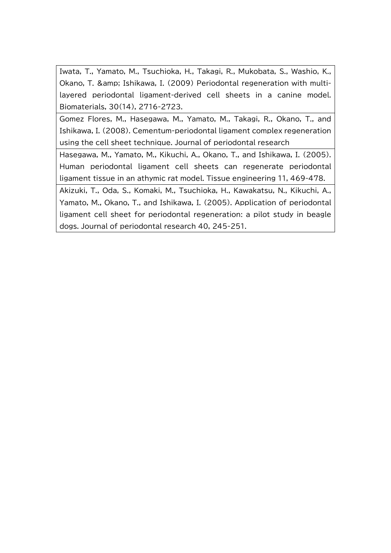Iwata, T., Yamato, M., Tsuchioka, H., Takagi, R., Mukobata, S., Washio, K., Okano, T. & amp: Ishikawa, I. (2009) Periodontal regeneration with multilayered periodontal ligament-derived cell sheets in a canine model. Biomaterials, 30(14), 2716-2723.

Gomez Flores, M., Hasegawa, M., Yamato, M., Takagi, R., Okano, T., and Ishikawa, I. (2008). Cementum-periodontal ligament complex regeneration using the cell sheet technique. Journal of periodontal research

Hasegawa, M., Yamato, M., Kikuchi, A., Okano, T., and Ishikawa, I. (2005). Human periodontal ligament cell sheets can regenerate periodontal ligament tissue in an athymic rat model. Tissue engineering 11, 469-478.

Akizuki, T., Oda, S., Komaki, M., Tsuchioka, H., Kawakatsu, N., Kikuchi, A., Yamato, M., Okano, T., and Ishikawa, I. (2005). Application of periodontal ligament cell sheet for periodontal regeneration: a pilot study in beagle dogs. Journal of periodontal research 40, 245-251.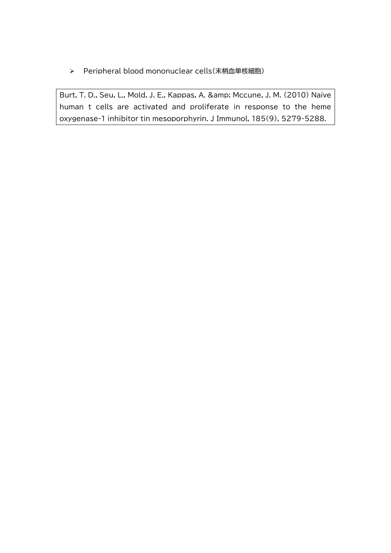Peripheral blood mononuclear cells(末梢血単核細胞)

Burt, T. D., Seu, L., Mold, J. E., Kappas, A. & amp; Mccune, J. M. (2010) Naive human t cells are activated and proliferate in response to the heme oxygenase-1 inhibitor tin mesoporphyrin. J Immunol, 185(9), 5279-5288.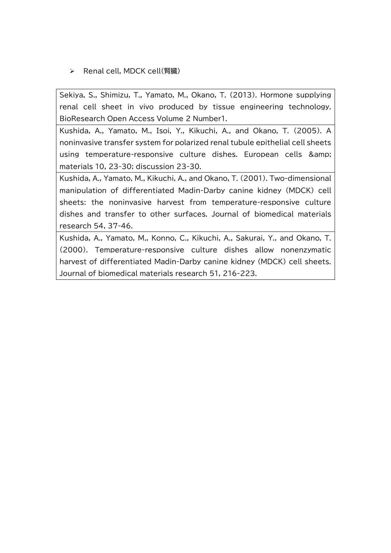> Renal cell, MDCK cell(腎臓)

Sekiya, S., Shimizu, T., Yamato, M., Okano, T. (2013). Hormone supplying renal cell sheet in vivo produced by tissue engineering technology. BioResearch Open Access Volume 2 Number1.

Kushida, A., Yamato, M., Isoi, Y., Kikuchi, A., and Okano, T. (2005). A noninvasive transfer system for polarized renal tubule epithelial cell sheets using temperature-responsive culture dishes. European cells & materials 10, 23-30; discussion 23-30.

Kushida, A., Yamato, M., Kikuchi, A., and Okano, T. (2001). Two-dimensional manipulation of differentiated Madin-Darby canine kidney (MDCK) cell sheets: the noninvasive harvest from temperature-responsive culture dishes and transfer to other surfaces. Journal of biomedical materials research 54, 37-46.

Kushida, A., Yamato, M., Konno, C., Kikuchi, A., Sakurai, Y., and Okano, T. (2000). Temperature-responsive culture dishes allow nonenzymatic harvest of differentiated Madin-Darby canine kidney (MDCK) cell sheets. Journal of biomedical materials research 51, 216-223.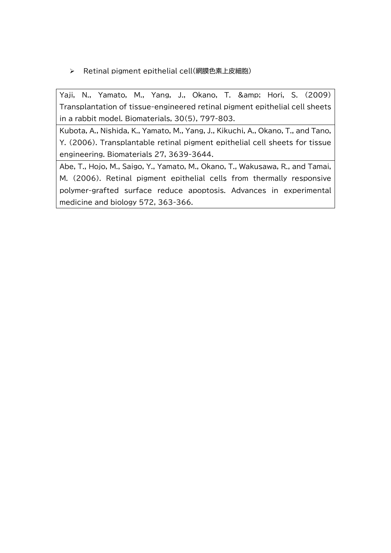Retinal pigment epithelial cell(網膜色素上皮細胞)

Yaji, N., Yamato, M., Yang, J., Okano, T. & amp; Hori, S. (2009) Transplantation of tissue-engineered retinal pigment epithelial cell sheets in a rabbit model. Biomaterials, 30(5), 797-803.

Kubota, A., Nishida, K., Yamato, M., Yang, J., Kikuchi, A., Okano, T., and Tano, Y. (2006). Transplantable retinal pigment epithelial cell sheets for tissue engineering. Biomaterials 27, 3639-3644.

Abe, T., Hojo, M., Saigo, Y., Yamato, M., Okano, T., Wakusawa, R., and Tamai, M. (2006). Retinal pigment epithelial cells from thermally responsive polymer-grafted surface reduce apoptosis. Advances in experimental medicine and biology 572, 363-366.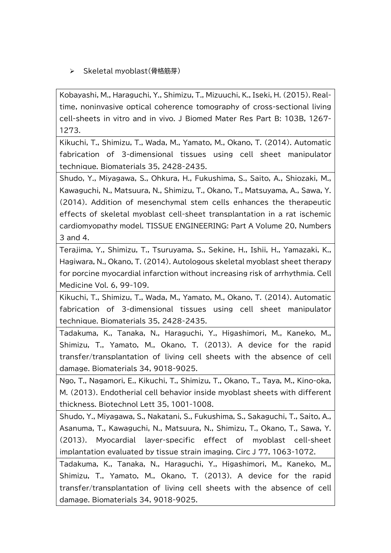> Skeletal myoblast(骨格筋芽)

Kobayashi, M., Haraguchi, Y., Shimizu, T., Mizuuchi, K., Iseki, H. (2015). Realtime, noninvasive optical coherence tomography of cross-sectional living cell-sheets in vitro and in vivo. J Biomed Mater Res Part B: 103B, 1267- 1273.

Kikuchi, T., Shimizu, T., Wada, M., Yamato, M., Okano, T. (2014). Automatic fabrication of 3-dimensional tissues using cell sheet manipulator technique. Biomaterials 35, 2428-2435.

Shudo, Y., Miyagawa, S., Ohkura, H., Fukushima, S., Saito, A., Shiozaki, M., Kawaguchi, N., Matsuura, N., Shimizu, T., Okano, T., Matsuyama, A., Sawa, Y. (2014). Addition of mesenchymal stem cells enhances the therapeutic effects of skeletal myoblast cell-sheet transplantation in a rat ischemic cardiomyopathy model. TISSUE ENGINEERING: Part A Volume 20, Numbers 3 and 4.

Terajima, Y., Shimizu, T., Tsuruyama, S., Sekine, H., Ishii, H., Yamazaki, K., Hagiwara, N., Okano, T. (2014). Autologous skeletal myoblast sheet therapy for porcine myocardial infarction without increasing risk of arrhythmia. Cell Medicine Vol. 6, 99-109.

Kikuchi, T., Shimizu, T., Wada, M., Yamato, M., Okano, T. (2014). Automatic fabrication of 3-dimensional tissues using cell sheet manipulator technique. Biomaterials 35, 2428-2435.

Tadakuma, K., Tanaka, N., Haraguchi, Y., Higashimori, M., Kaneko, M., Shimizu, T., Yamato, M., Okano, T. (2013). A device for the rapid transfer/transplantation of living cell sheets with the absence of cell damage. Biomaterials 34, 9018-9025.

Ngo, T., Nagamori, E., Kikuchi, T., Shimizu, T., Okano, T., Taya, M., Kino-oka, M. (2013). Endotherial cell behavior inside myoblast sheets with different thickness. Biotechnol Lett 35, 1001-1008.

Shudo, Y., Miyagawa, S., Nakatani, S., Fukushima, S., Sakaguchi, T., Saito, A., Asanuma, T., Kawaguchi, N., Matsuura, N., Shimizu, T., Okano, T., Sawa, Y. (2013). Myocardial layer-specific effect of myoblast cell-sheet implantation evaluated by tissue strain imaging. Circ J 77, 1063-1072.

Tadakuma, K., Tanaka, N., Haraguchi, Y., Higashimori, M., Kaneko, M., Shimizu, T., Yamato, M., Okano, T. (2013). A device for the rapid transfer/transplantation of living cell sheets with the absence of cell damage. Biomaterials 34, 9018-9025.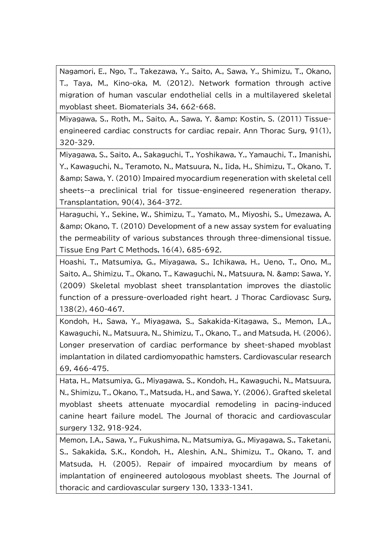Nagamori, E., Ngo, T., Takezawa, Y., Saito, A., Sawa, Y., Shimizu, T., Okano, T., Taya, M., Kino-oka, M. (2012). Network formation through active migration of human vascular endothelial cells in a multilayered skeletal myoblast sheet. Biomaterials 34, 662-668.

Miyagawa, S., Roth, M., Saito, A., Sawa, Y. & Kostin, S. (2011) Tissueengineered cardiac constructs for cardiac repair. Ann Thorac Surg, 91(1), 320-329.

Miyagawa, S., Saito, A., Sakaguchi, T., Yoshikawa, Y., Yamauchi, T., Imanishi, Y., Kawaguchi, N., Teramoto, N., Matsuura, N., Iida, H., Shimizu, T., Okano, T. & Sawa, Y. (2010) Impaired myocardium regeneration with skeletal cell sheets--a preclinical trial for tissue-engineered regeneration therapy. Transplantation, 90(4), 364-372.

Haraguchi, Y., Sekine, W., Shimizu, T., Yamato, M., Miyoshi, S., Umezawa, A. & Okano, T. (2010) Development of a new assay system for evaluating the permeability of various substances through three-dimensional tissue. Tissue Eng Part C Methods, 16(4), 685-692.

Hoashi, T., Matsumiya, G., Miyagawa, S., Ichikawa, H., Ueno, T., Ono, M., Saito, A., Shimizu, T., Okano, T., Kawaguchi, N., Matsuura, N. & amp; Sawa, Y. (2009) Skeletal myoblast sheet transplantation improves the diastolic function of a pressure-overloaded right heart. J Thorac Cardiovasc Surg, 138(2), 460-467.

Kondoh, H., Sawa, Y., Miyagawa, S., Sakakida-Kitagawa, S., Memon, I.A., Kawaguchi, N., Matsuura, N., Shimizu, T., Okano, T., and Matsuda, H. (2006). Longer preservation of cardiac performance by sheet-shaped myoblast implantation in dilated cardiomyopathic hamsters. Cardiovascular research 69, 466-475.

Hata, H., Matsumiya, G., Miyagawa, S., Kondoh, H., Kawaguchi, N., Matsuura, N., Shimizu, T., Okano, T., Matsuda, H., and Sawa, Y. (2006). Grafted skeletal myoblast sheets attenuate myocardial remodeling in pacing-induced canine heart failure model. The Journal of thoracic and cardiovascular surgery 132, 918-924.

Memon, I.A., Sawa, Y., Fukushima, N., Matsumiya, G., Miyagawa, S., Taketani, S., Sakakida, S.K., Kondoh, H., Aleshin, A.N., Shimizu, T., Okano, T. and Matsuda, H. (2005). Repair of impaired myocardium by means of implantation of engineered autologous myoblast sheets. The Journal of thoracic and cardiovascular surgery 130, 1333-1341.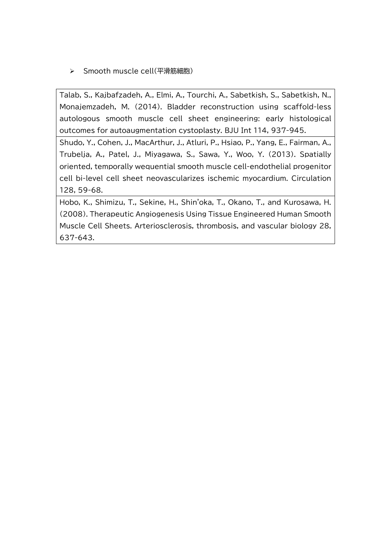> Smooth muscle cell(平滑筋細胞)

Talab, S., Kajbafzadeh, A., Elmi, A., Tourchi, A., Sabetkish, S., Sabetkish, N., Monajemzadeh, M. (2014). Bladder reconstruction using scaffold-less autologous smooth muscle cell sheet engineering: early histological outcomes for autoaugmentation cystoplasty. BJU Int 114, 937-945.

Shudo, Y., Cohen, J., MacArthur, J., Atluri, P., Hsiao, P., Yang, E., Fairman, A., Trubelja, A., Patel, J., Miyagawa, S., Sawa, Y., Woo, Y. (2013). Spatially oriented, temporally wequential smooth muscle cell-endothelial progenitor cell bi-level cell sheet neovascularizes ischemic myocardium. Circulation 128, 59-68.

Hobo, K., Shimizu, T., Sekine, H., Shin'oka, T., Okano, T., and Kurosawa, H. (2008). Therapeutic Angiogenesis Using Tissue Engineered Human Smooth Muscle Cell Sheets. Arteriosclerosis, thrombosis, and vascular biology 28, 637-643.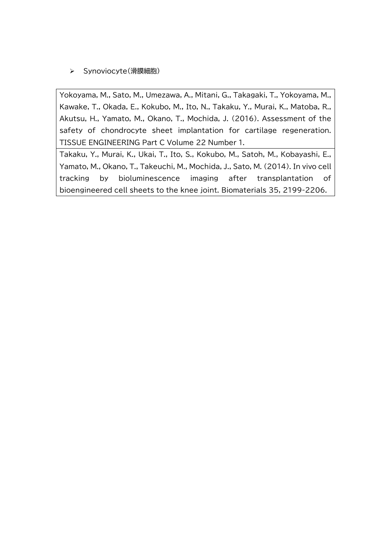## > Synoviocyte(滑膜細胞)

Yokoyama, M., Sato, M., Umezawa, A., Mitani, G., Takagaki, T., Yokoyama, M., Kawake, T., Okada, E., Kokubo, M., Ito, N., Takaku, Y., Murai, K., Matoba, R., Akutsu, H., Yamato, M., Okano, T., Mochida, J. (2016). Assessment of the safety of chondrocyte sheet implantation for cartilage regeneration. TISSUE ENGINEERING Part C Volume 22 Number 1.

Takaku, Y., Murai, K., Ukai, T., Ito, S., Kokubo, M., Satoh, M., Kobayashi, E., Yamato, M., Okano, T., Takeuchi, M., Mochida, J., Sato, M. (2014). In vivo cell tracking by bioluminescence imaging after transplantation of bioengineered cell sheets to the knee joint. Biomaterials 35, 2199-2206.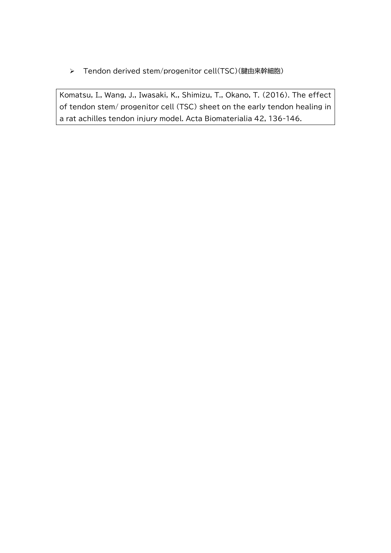Tendon derived stem/progenitor cell(TSC)(腱由来幹細胞)

Komatsu, I., Wang, J., Iwasaki, K., Shimizu, T., Okano, T. (2016). The effect of tendon stem/ progenitor cell (TSC) sheet on the early tendon healing in a rat achilles tendon injury model. Acta Biomaterialia 42, 136-146.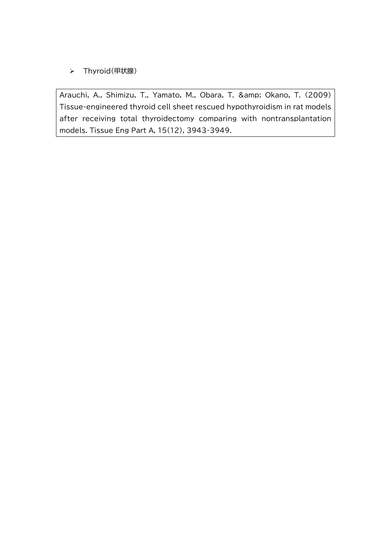## > Thyroid(甲状腺)

Arauchi, A., Shimizu, T., Yamato, M., Obara, T. & amp; Okano, T. (2009) Tissue-engineered thyroid cell sheet rescued hypothyroidism in rat models after receiving total thyroidectomy comparing with nontransplantation models. Tissue Eng Part A, 15(12), 3943-3949.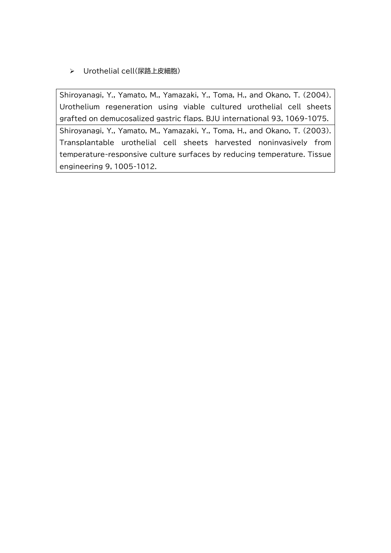Urothelial cell(尿路上皮細胞)

Shiroyanagi, Y., Yamato, M., Yamazaki, Y., Toma, H., and Okano, T. (2004). Urothelium regeneration using viable cultured urothelial cell sheets grafted on demucosalized gastric flaps. BJU international 93, 1069-1075. Shiroyanagi, Y., Yamato, M., Yamazaki, Y., Toma, H., and Okano, T. (2003). Transplantable urothelial cell sheets harvested noninvasively from

temperature-responsive culture surfaces by reducing temperature. Tissue engineering 9, 1005-1012.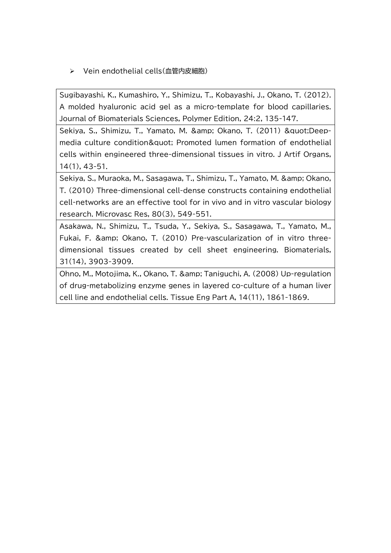> Vein endothelial cells(血管内皮細胞)

Sugibayashi, K., Kumashiro, Y., Shimizu, T., Kobayashi, J., Okano, T. (2012). A molded hyaluronic acid gel as a micro-template for blood capillaries. Journal of Biomaterials Sciences, Polymer Edition, 24:2, 135-147.

Sekiya, S., Shimizu, T., Yamato, M. & amp; Okano, T. (2011) & quot; Deepmedia culture condition" Promoted lumen formation of endothelial cells within engineered three-dimensional tissues in vitro. J Artif Organs, 14(1), 43-51.

Sekiya, S., Muraoka, M., Sasagawa, T., Shimizu, T., Yamato, M. & amp; Okano, T. (2010) Three-dimensional cell-dense constructs containing endothelial cell-networks are an effective tool for in vivo and in vitro vascular biology research. Microvasc Res, 80(3), 549-551.

Asakawa, N., Shimizu, T., Tsuda, Y., Sekiya, S., Sasagawa, T., Yamato, M., Fukai, F. & amp: Okano, T. (2010) Pre-vascularization of in vitro threedimensional tissues created by cell sheet engineering. Biomaterials, 31(14), 3903-3909.

Ohno, M., Motojima, K., Okano, T. & amp; Taniguchi, A. (2008) Up-regulation of drug-metabolizing enzyme genes in layered co-culture of a human liver cell line and endothelial cells. Tissue Eng Part A, 14(11), 1861-1869.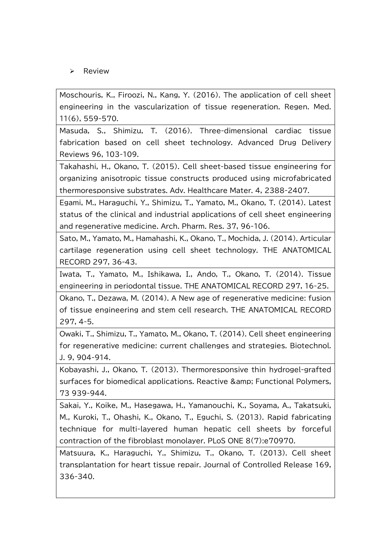$\triangleright$  Review

Moschouris, K., Firoozi, N., Kang, Y. (2016). The application of cell sheet engineering in the vascularization of tissue regeneration. Regen. Med. 11(6), 559-570.

Masuda, S., Shimizu, T. (2016). Three-dimensional cardiac tissue fabrication based on cell sheet technology. Advanced Drug Delivery Reviews 96, 103-109.

Takahashi, H., Okano, T. (2015). Cell sheet-based tissue engineering for organizing anisotropic tissue constructs produced using microfabricated thermoresponsive substrates. Adv. Healthcare Mater. 4, 2388-2407.

Egami, M., Haraguchi, Y., Shimizu, T., Yamato, M., Okano, T. (2014). Latest status of the clinical and industrial applications of cell sheet engineering and regenerative medicine. Arch. Pharm. Res. 37, 96-106.

Sato, M., Yamato, M., Hamahashi, K., Okano, T., Mochida, J. (2014). Articular cartilage regeneration using cell sheet technology. THE ANATOMICAL RECORD 297, 36-43.

Iwata, T., Yamato, M., Ishikawa, I., Ando, T., Okano, T. (2014). Tissue engineering in periodontal tissue. THE ANATOMICAL RECORD 297, 16-25.

Okano, T., Dezawa, M. (2014). A New age of regenerative medicine: fusion of tissue engineering and stem cell research. THE ANATOMICAL RECORD 297, 4-5.

Owaki, T., Shimizu, T., Yamato, M., Okano, T. (2014). Cell sheet engineering for regenerative medicine: current challenges and strategies. Biotechnol. J. 9, 904-914.

Kobayashi, J., Okano, T. (2013). Thermoresponsive thin hydrogel-grafted surfaces for biomedical applications. Reactive & amp; Functional Polymers, 73 939-944.

Sakai, Y., Koike, M., Hasegawa, H., Yamanouchi, K., Soyama, A., Takatsuki, M., Kuroki, T., Ohashi, K., Okano, T., Eguchi, S. (2013). Rapid fabricating technique for multi-layered human hepatic cell sheets by forceful contraction of the fibroblast monolayer. PLoS ONE 8(7):e70970.

Matsuura, K., Haraguchi, Y., Shimizu, T., Okano, T. (2013). Cell sheet transplantation for heart tissue repair. Journal of Controlled Release 169, 336-340.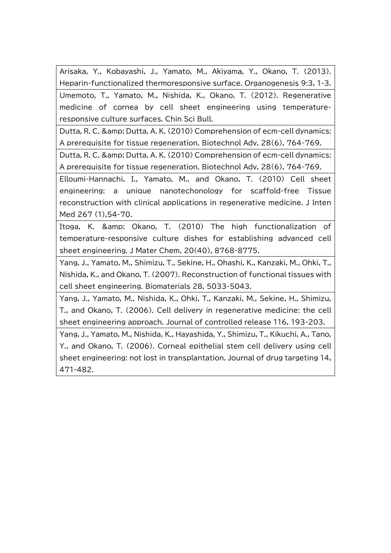Arisaka, Y., Kobayashi, J., Yamato, M., Akiyama, Y., Okano, T. (2013). Heparin-functionalized thermoresponsive surface. Organogenesis 9:3, 1-3. Umemoto, T., Yamato, M., Nishida, K., Okano, T. (2012). Regenerative medicine of cornea by cell sheet engineering using temperatureresponsive culture surfaces. Chin Sci Bull.

Dutta, R. C. & amp; Dutta, A. K. (2010) Comprehension of ecm-cell dynamics: A prerequisite for tissue regeneration. Biotechnol Adv, 28(6), 764-769.

Dutta, R. C. & amp: Dutta, A. K. (2010) Comprehension of ecm-cell dynamics: A prerequisite for tissue regeneration. Biotechnol Adv, 28(6), 764-769.

Elloumi-Hannachi, I., Yamato, M., and Okano, T. (2010) Cell sheet engineering: a unique nanotechonology for scaffold-free Tissue reconstruction with clinical applications in regenerative medicine. J lnten Med 267 (1),54-70.

Itoga, K. & amp; Okano, T. (2010) The high functionalization of temperature-responsive culture dishes for establishing advanced cell sheet engineering. J Mater Chem, 20(40), 8768-8775.

Yang, J., Yamato, M., Shimizu, T., Sekine, H., Ohashi, K., Kanzaki, M., Ohki, T., Nishida, K., and Okano, T. (2007). Reconstruction of functional tissues with cell sheet engineering. Biomaterials 28, 5033-5043.

Yang, J., Yamato, M., Nishida, K., Ohki, T., Kanzaki, M., Sekine, H., Shimizu, T., and Okano, T. (2006). Cell delivery in regenerative medicine: the cell sheet engineering approach. Journal of controlled release 116, 193-203.

Yang, J., Yamato, M., Nishida, K., Hayashida, Y., Shimizu, T., Kikuchi, A., Tano, Y., and Okano, T. (2006). Corneal epithelial stem cell delivery using cell sheet engineering: not lost in transplantation. Journal of drug targeting 14, 471-482.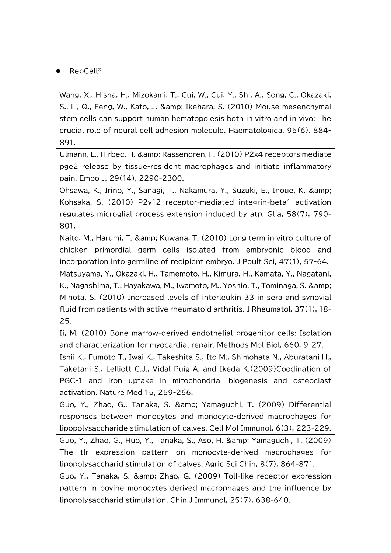RepCell®

Wang, X., Hisha, H., Mizokami, T., Cui, W., Cui, Y., Shi, A., Song, C., Okazaki, S., Li, Q., Feng, W., Kato, J. & Ikehara, S. (2010) Mouse mesenchymal stem cells can support human hematopoiesis both in vitro and in vivo: The crucial role of neural cell adhesion molecule. Haematologica, 95(6), 884- 891.

Ulmann, L., Hirbec, H. & amp; Rassendren, F. (2010) P2x4 receptors mediate pge2 release by tissue-resident macrophages and initiate inflammatory pain. Embo J, 29(14), 2290-2300.

Ohsawa, K., Irino, Y., Sanagi, T., Nakamura, Y., Suzuki, E., Inoue, K. & Kohsaka, S. (2010) P2y12 receptor-mediated integrin-beta1 activation regulates microglial process extension induced by atp. Glia, 58(7), 790- 801.

Naito, M., Harumi, T. & amp: Kuwana, T. (2010) Long term in vitro culture of chicken primordial germ cells isolated from embryonic blood and incorporation into germline of recipient embryo. J Poult Sci, 47(1), 57-64.

Matsuyama, Y., Okazaki, H., Tamemoto, H., Kimura, H., Kamata, Y., Nagatani, K., Nagashima, T., Hayakawa, M., Iwamoto, M., Yoshio, T., Tominaga, S. & Minota, S. (2010) Increased levels of interleukin 33 in sera and synovial fluid from patients with active rheumatoid arthritis. J Rheumatol, 37(1), 18- 25.

Ii, M. (2010) Bone marrow-derived endothelial progenitor cells: Isolation and characterization for myocardial repair. Methods Mol Biol, 660, 9-27.

Ishii K., Fumoto T., Iwai K., Takeshita S., Ito M., Shimohata N., Aburatani H., Taketani S., Lelliott C.J., Vidal-Puig A. and Ikeda K.(2009)Coodination of PGC-1 and iron uptake in mitochondrial biogenesis and osteoclast activation. Nature Med 15, 259-266.

Guo, Y., Zhao, G., Tanaka, S. & Yamaguchi, T. (2009) Differential responses between monocytes and monocyte-derived macrophages for lipopolysaccharide stimulation of calves. Cell Mol Immunol, 6(3), 223-229.

Guo, Y., Zhao, G., Huo, Y., Tanaka, S., Aso, H. & Yamaguchi, T. (2009) The tlr expression pattern on monocyte-derived macrophages for lipopolysaccharid stimulation of calves. Agric Sci Chin, 8(7), 864-871.

Guo, Y., Tanaka, S. & amp; Zhao, G. (2009) Toll-like receptor expression pattern in bovine monocytes-derived macrophages and the influence by lipopolysaccharid stimulation. Chin J Immunol, 25(7), 638-640.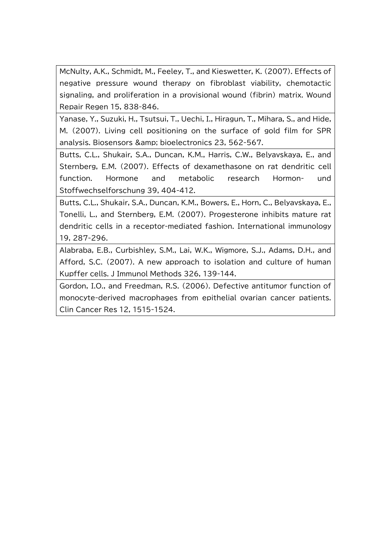McNulty, A.K., Schmidt, M., Feeley, T., and Kieswetter, K. (2007). Effects of negative pressure wound therapy on fibroblast viability, chemotactic signaling, and proliferation in a provisional wound (fibrin) matrix. Wound Repair Regen 15, 838-846.

Yanase, Y., Suzuki, H., Tsutsui, T., Uechi, I., Hiragun, T., Mihara, S., and Hide, M. (2007). Living cell positioning on the surface of gold film for SPR analysis. Biosensors & amp; bioelectronics 23, 562-567.

Butts, C.L., Shukair, S.A., Duncan, K.M., Harris, C.W., Belyavskaya, E., and Sternberg, E.M. (2007). Effects of dexamethasone on rat dendritic cell function. Hormone and metabolic research Hormon- und Stoffwechselforschung 39, 404-412.

Butts, C.L., Shukair, S.A., Duncan, K.M., Bowers, E., Horn, C., Belyavskaya, E., Tonelli, L., and Sternberg, E.M. (2007). Progesterone inhibits mature rat dendritic cells in a receptor-mediated fashion. International immunology 19, 287-296.

Alabraba, E.B., Curbishley, S.M., Lai, W.K., Wigmore, S.J., Adams, D.H., and Afford, S.C. (2007). A new approach to isolation and culture of human Kupffer cells. J Immunol Methods 326, 139-144.

Gordon, I.O., and Freedman, R.S. (2006). Defective antitumor function of monocyte-derived macrophages from epithelial ovarian cancer patients. Clin Cancer Res 12, 1515-1524.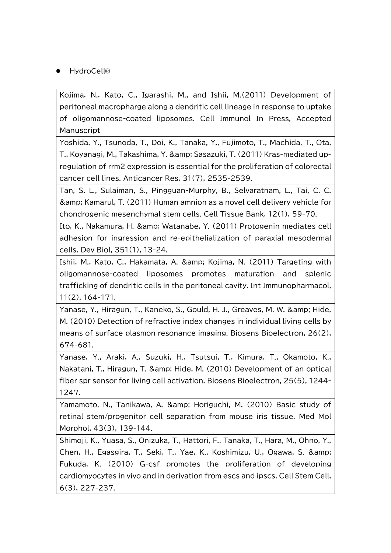HydroCell®

Kojima, N., Kato, C., Igarashi, M., and Ishii, M.(2011) Development of peritoneal macropharge along a dendritic cell lineage in response to uptake of oligomannose-coated liposomes. Cell Immunol In Press, Accepted Manuscript

Yoshida, Y., Tsunoda, T., Doi, K., Tanaka, Y., Fujimoto, T., Machida, T., Ota, T., Koyanagi, M., Takashima, Y. & Sasazuki, T. (2011) Kras-mediated upregulation of rrm2 expression is essential for the proliferation of colorectal cancer cell lines. Anticancer Res, 31(7), 2535-2539.

Tan, S. L., Sulaiman, S., Pingguan-Murphy, B., Selvaratnam, L., Tai, C. C. & amp; Kamarul, T. (2011) Human amnion as a novel cell delivery vehicle for chondrogenic mesenchymal stem cells. Cell Tissue Bank, 12(1), 59-70.

Ito, K., Nakamura, H. & amp; Watanabe, Y. (2011) Protogenin mediates cell adhesion for ingression and re-epithelialization of paraxial mesodermal cells. Dev Biol, 351(1), 13-24.

Ishii, M., Kato, C., Hakamata, A. & amp; Kojima, N. (2011) Targeting with oligomannose-coated liposomes promotes maturation and splenic trafficking of dendritic cells in the peritoneal cavity. Int Immunopharmacol, 11(2), 164-171.

Yanase, Y., Hiragun, T., Kaneko, S., Gould, H. J., Greaves, M. W. & amp; Hide, M. (2010) Detection of refractive index changes in individual living cells by means of surface plasmon resonance imaging. Biosens Bioelectron, 26(2), 674-681.

Yanase, Y., Araki, A., Suzuki, H., Tsutsui, T., Kimura, T., Okamoto, K., Nakatani, T., Hiragun, T. & Hide, M. (2010) Development of an optical fiber spr sensor for living cell activation. Biosens Bioelectron, 25(5), 1244- 1247.

Yamamoto, N., Tanikawa, A. & amp; Horiguchi, M. (2010) Basic study of retinal stem/progenitor cell separation from mouse iris tissue. Med Mol Morphol, 43(3), 139-144.

Shimoji, K., Yuasa, S., Onizuka, T., Hattori, F., Tanaka, T., Hara, M., Ohno, Y., Chen, H., Egasgira, T., Seki, T., Yae, K., Koshimizu, U., Ogawa, S. & Fukuda, K. (2010) G-csf promotes the proliferation of developing cardiomyocytes in vivo and in derivation from escs and ipscs. Cell Stem Cell, 6(3), 227-237.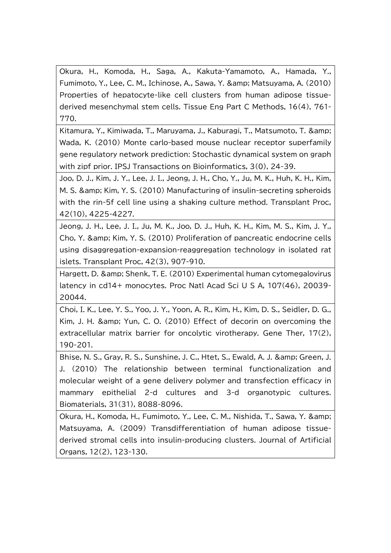Okura, H., Komoda, H., Saga, A., Kakuta-Yamamoto, A., Hamada, Y., Fumimoto, Y., Lee, C. M., Ichinose, A., Sawa, Y. & Matsuyama, A. (2010) Properties of hepatocyte-like cell clusters from human adipose tissuederived mesenchymal stem cells. Tissue Eng Part C Methods, 16(4), 761- 770.

Kitamura, Y., Kimiwada, T., Maruyama, J., Kaburagi, T., Matsumoto, T. & Wada, K. (2010) Monte carlo-based mouse nuclear receptor superfamily gene regulatory network prediction: Stochastic dynamical system on graph with zipf prior. IPSJ Transactions on Bioinformatics, 3(0), 24-39.

Joo, D. J., Kim, J. Y., Lee, J. I., Jeong, J. H., Cho, Y., Ju, M. K., Huh, K. H., Kim, M. S. & amp; Kim, Y. S. (2010) Manufacturing of insulin-secreting spheroids with the rin-5f cell line using a shaking culture method. Transplant Proc, 42(10), 4225-4227.

Jeong, J. H., Lee, J. I., Ju, M. K., Joo, D. J., Huh, K. H., Kim, M. S., Kim, J. Y., Cho, Y. & Kim, Y. S. (2010) Proliferation of pancreatic endocrine cells using disaggregation-expansion-reaggregation technology in isolated rat islets. Transplant Proc, 42(3), 907-910.

Hargett, D. & amp; Shenk, T. E. (2010) Experimental human cytomegalovirus latency in cd14+ monocytes. Proc Natl Acad Sci U S A, 107(46), 20039- 20044.

Choi, I. K., Lee, Y. S., Yoo, J. Y., Yoon, A. R., Kim, H., Kim, D. S., Seidler, D. G., Kim, J. H. & amp; Yun, C. O. (2010) Effect of decorin on overcoming the extracellular matrix barrier for oncolytic virotherapy. Gene Ther, 17(2), 190-201.

Bhise, N. S., Gray, R. S., Sunshine, J. C., Htet, S., Ewald, A. J. & Green, J. J. (2010) The relationship between terminal functionalization and molecular weight of a gene delivery polymer and transfection efficacy in mammary epithelial 2-d cultures and 3-d organotypic cultures. Biomaterials, 31(31), 8088-8096.

Okura, H., Komoda, H., Fumimoto, Y., Lee, C. M., Nishida, T., Sawa, Y. & Matsuyama, A. (2009) Transdifferentiation of human adipose tissuederived stromal cells into insulin-producing clusters. Journal of Artificial Organs, 12(2), 123-130.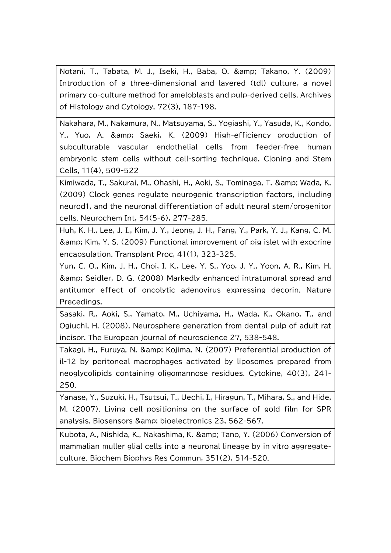Notani, T., Tabata, M. J., Iseki, H., Baba, O. & Takano, Y. (2009) Introduction of a three-dimensional and layered (tdl) culture, a novel primary co-culture method for ameloblasts and pulp-derived cells. Archives of Histology and Cytology, 72(3), 187-198.

Nakahara, M., Nakamura, N., Matsuyama, S., Yogiashi, Y., Yasuda, K., Kondo, Y., Yuo, A. & amp; Saeki, K. (2009) High-efficiency production of subculturable vascular endothelial cells from feeder-free human embryonic stem cells without cell-sorting technique. Cloning and Stem Cells, 11(4), 509-522

Kimiwada, T., Sakurai, M., Ohashi, H., Aoki, S., Tominaga, T. & amp; Wada, K. (2009) Clock genes regulate neurogenic transcription factors, including neurod1, and the neuronal differentiation of adult neural stem/progenitor cells. Neurochem Int, 54(5-6), 277-285.

Huh, K. H., Lee, J. I., Kim, J. Y., Jeong, J. H., Fang, Y., Park, Y. J., Kang, C. M. & amp; Kim, Y. S. (2009) Functional improvement of pig islet with exocrine encapsulation. Transplant Proc, 41(1), 323-325.

Yun, C. O., Kim, J. H., Choi, I. K., Lee, Y. S., Yoo, J. Y., Yoon, A. R., Kim, H. & Seidler, D. G. (2008) Markedly enhanced intratumoral spread and antitumor effect of oncolytic adenovirus expressing decorin. Nature Precedings.

Sasaki, R., Aoki, S., Yamato, M., Uchiyama, H., Wada, K., Okano, T., and Ogiuchi, H. (2008). Neurosphere generation from dental pulp of adult rat incisor. The European journal of neuroscience 27, 538-548.

Takagi, H., Furuya, N. & amp; Kojima, N. (2007) Preferential production of il-12 by peritoneal macrophages activated by liposomes prepared from neoglycolipids containing oligomannose residues. Cytokine, 40(3), 241- 250.

Yanase, Y., Suzuki, H., Tsutsui, T., Uechi, I., Hiragun, T., Mihara, S., and Hide, M. (2007). Living cell positioning on the surface of gold film for SPR analysis. Biosensors & amp; bioelectronics 23, 562-567.

Kubota, A., Nishida, K., Nakashima, K. & amp; Tano, Y. (2006) Conversion of mammalian muller glial cells into a neuronal lineage by in vitro aggregateculture. Biochem Biophys Res Commun, 351(2), 514-520.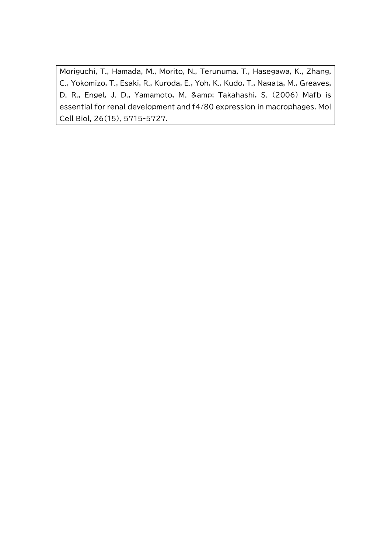Moriguchi, T., Hamada, M., Morito, N., Terunuma, T., Hasegawa, K., Zhang, C., Yokomizo, T., Esaki, R., Kuroda, E., Yoh, K., Kudo, T., Nagata, M., Greaves, D. R., Engel, J. D., Yamamoto, M. & amp; Takahashi, S. (2006) Mafb is essential for renal development and f4/80 expression in macrophages. Mol Cell Biol, 26(15), 5715-5727.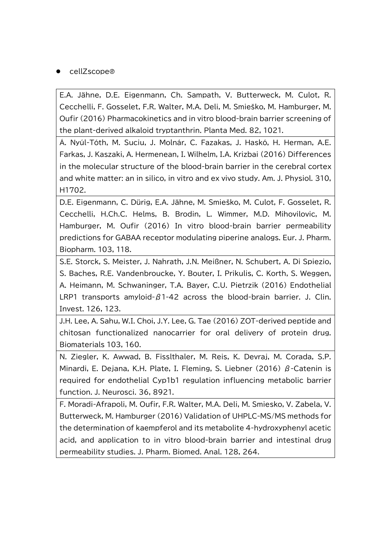## cellZscope

E.A. Jähne, D.E. Eigenmann, Ch. Sampath, V. Butterweck, M. Culot, R. Cecchelli, F. Gosselet, F.R. Walter, M.A. Deli, M. Smieško, M. Hamburger, M. Oufir (2016) Pharmacokinetics and in vitro blood-brain barrier screening of the plant-derived alkaloid tryptanthrin. Planta Med. 82, 1021.

Á. Nyúl-Tóth, M. Suciu, J. Molnár, C. Fazakas, J. Haskó, H. Herman, A.E. Farkas, J. Kaszaki, A. Hermenean, I. Wilhelm, I.A. Krizbai (2016) Differences in the molecular structure of the blood-brain barrier in the cerebral cortex and white matter: an in silico, in vitro and ex vivo study. Am. J. Physiol. 310, H1702.

D.E. Eigenmann, C. Dürig, E.A. Jähne, M. Smieško, M. Culot, F. Gosselet, R. Cecchelli, H.Ch.C. Helms, B. Brodin, L. Wimmer, M.D. Mihovilovic, M. Hamburger, M. Oufir (2016) In vitro blood-brain barrier permeability predictions for GABAA receptor modulating piperine analogs. Eur. J. Pharm. Biopharm. 103, 118.

S.E. Storck, S. Meister, J. Nahrath, J.N. Meißner, N. Schubert, A. Di Spiezio, S. Baches, R.E. Vandenbroucke, Y. Bouter, I. Prikulis, C. Korth, S. Weggen, A. Heimann, M. Schwaninger, T.A. Bayer, C.U. Pietrzik (2016) Endothelial LRP1 transports amyloid-β1-42 across the blood-brain barrier. J. Clin. Invest. 126, 123.

J.H. Lee, A. Sahu, W.I. Choi, J.Y. Lee, G. Tae (2016) ZOT-derived peptide and chitosan functionalized nanocarrier for oral delivery of protein drug. Biomaterials 103, 160.

N. Ziegler, K. Awwad, B. Fisslthaler, M. Reis, K. Devraj, M. Corada, S.P. Minardi, E. Dejana, K.H. Plate, I. Fleming, S. Liebner (2016)  $\beta$ -Catenin is required for endothelial Cyp1b1 regulation influencing metabolic barrier function. J. Neurosci. 36, 8921.

F. Moradi-Afrapoli, M. Oufir, F.R. Walter, M.A. Deli, M. Smiesko, V. Zabela, V. Butterweck, M. Hamburger (2016) Validation of UHPLC-MS/MS methods for the determination of kaempferol and its metabolite 4-hydroxyphenyl acetic acid, and application to in vitro blood-brain barrier and intestinal drug permeability studies. J. Pharm. Biomed. Anal. 128, 264.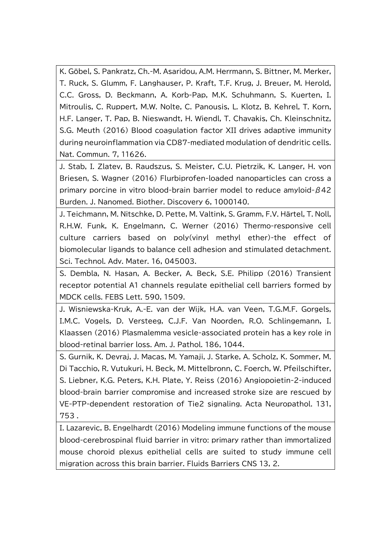K. Göbel, S. Pankratz, Ch.-M. Asaridou, A.M. Herrmann, S. Bittner, M. Merker, T. Ruck, S. Glumm, F. Langhauser, P. Kraft, T.F. Krug, J. Breuer, M. Herold, C.C. Gross, D. Beckmann, A. Korb-Pap, M.K. Schuhmann, S. Kuerten, I. Mitroulis, C. Ruppert, M.W. Nolte, C. Panousis, L. Klotz, B. Kehrel, T. Korn, H.F. Langer, T. Pap, B. Nieswandt, H. Wiendl, T. Chavakis, Ch. Kleinschnitz, S.G. Meuth (2016) Blood coagulation factor XII drives adaptive immunity during neuroinflammation via CD87-mediated modulation of dendritic cells. Nat. Commun. 7, 11626.

J. Stab, I. Zlatev, B. Raudszus, S. Meister, C.U. Pietrzik, K. Langer, H. von Briesen, S. Wagner (2016) Flurbiprofen-loaded nanoparticles can cross a primary porcine in vitro blood-brain barrier model to reduce amyloid-β42 Burden. J. Nanomed. Biother. Discovery 6, 1000140.

J. Teichmann, M. Nitschke, D. Pette, M. Valtink, S. Gramm, F.V. Härtel, T. Noll, R.H.W. Funk, K. Engelmann, C. Werner (2016) Thermo-responsive cell culture carriers based on poly(vinyl methyl ether)-the effect of biomolecular ligands to balance cell adhesion and stimulated detachment. Sci. Technol. Adv. Mater. 16, 045003.

S. Dembla, N. Hasan, A. Becker, A. Beck, S.E. Philipp (2016) Transient receptor potential A1 channels regulate epithelial cell barriers formed by MDCK cells. FEBS Lett. 590, 1509.

J. Wisniewska-Kruk, A.-E. van der Wijk, H.A. van Veen, T.G.M.F. Gorgels, I.M.C. Vogels, D. Versteeg, C.J.F. Van Noorden, R.O. Schlingemann, I. Klaassen (2016) Plasmalemma vesicle-associated protein has a key role in blood-retinal barrier loss. Am. J. Pathol. 186, 1044.

S. Gurnik, K. Devraj, J. Macas, M. Yamaji, J. Starke, A. Scholz, K. Sommer, M. Di Tacchio, R. Vutukuri, H. Beck, M. Mittelbronn, C. Foerch, W. Pfeilschifter, S. Liebner, K.G. Peters, K.H. Plate, Y. Reiss (2016) Angiopoietin-2-induced blood-brain barrier compromise and increased stroke size are rescued by VE-PTP-dependent restoration of Tie2 signaling. Acta Neuropathol. 131, 753 .

I. Lazarevic, B. Engelhardt (2016) Modeling immune functions of the mouse blood-cerebrospinal fluid barrier in vitro: primary rather than immortalized mouse choroid plexus epithelial cells are suited to study immune cell migration across this brain barrier. Fluids Barriers CNS 13, 2.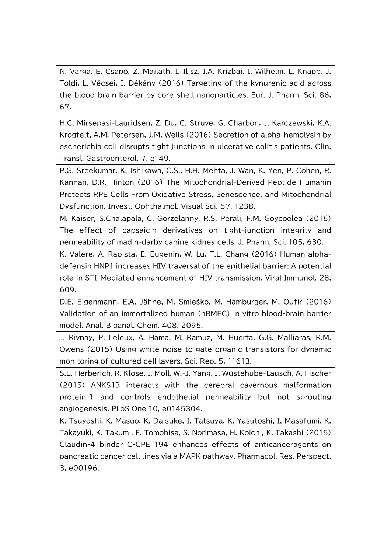N. Varga, E. Csapó, Z. Majláth, I. Ilisz, I.A. Krizbai, I. Wilhelm, L. Knapp, J. Toldi, L. Vécsei, I. Dékány (2016) Targeting of the kynurenic acid across the blood-brain barrier by core-shell nanoparticles. Eur. J. Pharm. Sci. 86, 67.

H.C. Mirsepasi-Lauridsen, Z. Du, C. Struve, G. Charbon, J. Karczewski, K.A. Krogfelt, A.M. Petersen, J.M. Wells (2016) Secretion of alpha-hemolysin by escherichia coli disrupts tight junctions in ulcerative colitis patients. Clin. Transl. Gastroenterol. 7, e149.

P.G. Sreekumar, K. Ishikawa, C.S., H.H. Mehta, J. Wan, K. Yen, P. Cohen, R. Kannan, D.R. Hinton (2016) The Mitochondrial-Derived Peptide Humanin Protects RPE Cells From Oxidative Stress, Senescence, and Mitochondrial Dysfunction. Invest. Ophthalmol. Visual Sci. 57, 1238.

M. Kaiser, S.Chalapala, C. Gorzelanny, R.S. Perali, F.M. Goycoolea (2016) The effect of capsaicin derivatives on tight-junction integrity and permeability of madin-darby canine kidney cells. J. Pharm. Sci. 105, 630.

K. Valere, A. Rapista, E. Eugenin, W. Lu, T.L. Chang (2016) Human alphadefensin HNP1 increases HIV traversal of the epithelial barrier: A potential role in STI-Mediated enhancement of HIV transmission. Viral Immunol. 28, 609.

D.E. Eigenmann, E.A. Jähne, M. Smieško, M. Hamburger, M. Oufir (2016) Validation of an immortalized human (hBMEC) in vitro blood-brain barrier model. Anal. Bioanal. Chem. 408, 2095.

J. Rivnay, P. Leleux, A. Hama, M. Ramuz, M. Huerta, G.G. Malliaras, R.M. Owens (2015) Using white noise to gate organic transistors for dynamic monitoring of cultured cell layers. Sci. Rep. 5, 11613.

S.E. Herberich, R. Klose, I. Moll, W.-J. Yang, J. Wüstehube-Lausch, A. Fischer (2015) ANKS1B interacts with the cerebral cavernous malformation protein-1 and controls endothelial permeability but not sprouting angiogenesis. PLoS One 10, e0145304.

K. Tsuyoshi, K. Masuo, K. Daisuke, I. Tatsuya, K. Yasutoshi, I. Masafumi, K. Takayuki, K. Takumi, F. Tomohisa, S. Norimasa, H. Koichi, K. Takashi (2015) Claudin-4 binder C-CPE 194 enhances effects of anticanceragents on pancreatic cancer cell lines via a MAPK pathway. Pharmacol. Res. Perspect. 3, e00196.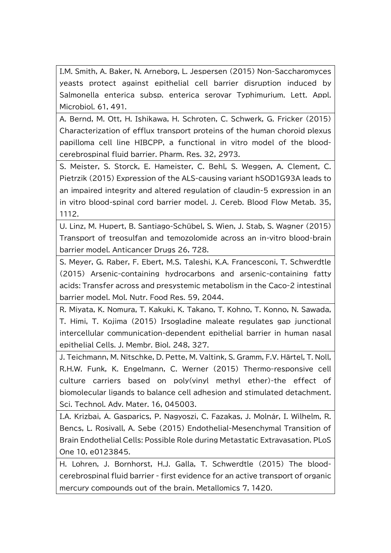I.M. Smith, A. Baker, N. Arneborg, L. Jespersen (2015) Non-Saccharomyces yeasts protect against epithelial cell barrier disruption induced by Salmonella enterica subsp. enterica serovar Typhimurium. Lett. Appl. Microbiol. 61, 491.

A. Bernd, M. Ott, H. Ishikawa, H. Schroten, C. Schwerk, G. Fricker (2015) Characterization of efflux transport proteins of the human choroid plexus papilloma cell line HIBCPP, a functional in vitro model of the bloodcerebrospinal fluid barrier. Pharm. Res. 32, 2973.

S. Meister, S. Storck, E. Hameister, C. Behl, S. Weggen, A. Clement, C. Pietrzik (2015) Expression of the ALS-causing variant hSOD1G93A leads to an impaired integrity and altered regulation of claudin-5 expression in an in vitro blood-spinal cord barrier model. J. Cereb. Blood Flow Metab. 35, 1112.

U. Linz, M. Hupert, B. Santiago-Schübel, S. Wien, J. Stab, S. Wagner (2015) Transport of treosulfan and temozolomide across an in-vitro blood-brain barrier model. Anticancer Drugs 26, 728.

S. Meyer, G. Raber, F. Ebert, M.S. Taleshi, K.A. Francesconi, T. Schwerdtle (2015) Arsenic-containing hydrocarbons and arsenic-containing fatty acids: Transfer across and presystemic metabolism in the Caco-2 intestinal barrier model. Mol. Nutr. Food Res. 59, 2044.

R. Miyata, K. Nomura, T. Kakuki, K. Takano, T. Kohno, T. Konno, N. Sawada, T. Himi, T. Kojima (2015) Irsogladine maleate regulates gap junctional intercellular communication-dependent epithelial barrier in human nasal epithelial Cells. J. Membr. Biol. 248, 327.

J. Teichmann, M. Nitschke, D. Pette, M. Valtink, S. Gramm, F.V. Härtel, T. Noll, R.H.W. Funk, K. Engelmann, C. Werner (2015) Thermo-responsive cell culture carriers based on poly(vinyl methyl ether)-the effect of biomolecular ligands to balance cell adhesion and stimulated detachment. Sci. Technol. Adv. Mater. 16, 045003.

I.A. Krizbai, Á. Gasparics, P. Nagyoszi, C. Fazakas, J. Molnár, I. Wilhelm, R. Bencs, L. Rosivall, A. Sebe (2015) Endothelial-Mesenchymal Transition of Brain Endothelial Cells: Possible Role during Metastatic Extravasation. PLoS One 10, e0123845.

H. Lohren, J. Bornhorst, H.J. Galla, T. Schwerdtle (2015) The bloodcerebrospinal fluid barrier - first evidence for an active transport of organic mercury compounds out of the brain. Metallomics 7, 1420.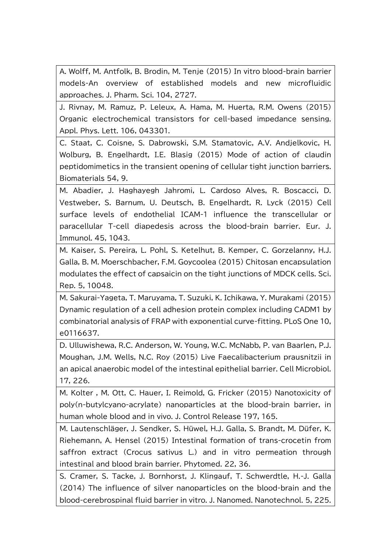A. Wolff, M. Antfolk, B. Brodin, M. Tenje (2015) In vitro blood-brain barrier models-An overview of established models and new microfluidic approaches. J. Pharm. Sci. 104, 2727.

J. Rivnay, M. Ramuz, P. Leleux, A. Hama, M. Huerta, R.M. Owens (2015) Organic electrochemical transistors for cell-based impedance sensing. Appl. Phys. Lett. 106, 043301.

C. Staat, C. Coisne, S. Dabrowski, S.M. Stamatovic, A.V. Andjelkovic, H. Wolburg, B. Engelhardt, I.E. Blasig (2015) Mode of action of claudin peptidomimetics in the transient opening of cellular tight junction barriers. Biomaterials 54, 9.

M. Abadier, J. Haghayegh Jahromi, L. Cardoso Alves, R. Boscacci, D. Vestweber, S. Barnum, U. Deutsch, B. Engelhardt, R. Lyck (2015) Cell surface levels of endothelial ICAM-1 influence the transcellular or paracellular T-cell diapedesis across the blood-brain barrier. Eur. J. Immunol. 45, 1043.

M. Kaiser, S. Pereira, L. Pohl, S. Ketelhut, B. Kemper, C. Gorzelanny, H.J. Galla, B. M. Moerschbacher, F.M. Goycoolea (2015) Chitosan encapsulation modulates the effect of capsaicin on the tight junctions of MDCK cells. Sci. Rep. 5, 10048.

M. Sakurai-Yageta, T. Maruyama, T. Suzuki, K. Ichikawa, Y. Murakami (2015) Dynamic regulation of a cell adhesion protein complex including CADM1 by combinatorial analysis of FRAP with exponential curve-fitting. PLoS One 10, e0116637.

D. Ulluwishewa, R.C. Anderson, W. Young, W.C. McNabb, P. van Baarlen, P.J. Moughan, J.M. Wells, N.C. Roy (2015) Live Faecalibacterium prausnitzii in an apical anaerobic model of the intestinal epithelial barrier. Cell Microbiol. 17, 226.

M. Kolter , M. Ott, C. Hauer, I. Reimold, G. Fricker (2015) Nanotoxicity of poly(n-butylcyano-acrylate) nanoparticles at the blood-brain barrier, in human whole blood and in vivo. J. Control Release 197, 165.

M. Lautenschläger, J. Sendker, S. Hüwel, H.J. Galla, S. Brandt, M. Düfer, K. Riehemann, A. Hensel (2015) Intestinal formation of trans-crocetin from saffron extract (Crocus sativus L.) and in vitro permeation through intestinal and blood brain barrier. Phytomed. 22, 36.

S. Cramer, S. Tacke, J. Bornhorst, J. Klingauf, T. Schwerdtle, H.-J. Galla (2014) The influence of silver nanoparticles on the blood-brain and the blood-cerebrospinal fluid barrier in vitro. J. Nanomed. Nanotechnol. 5, 225.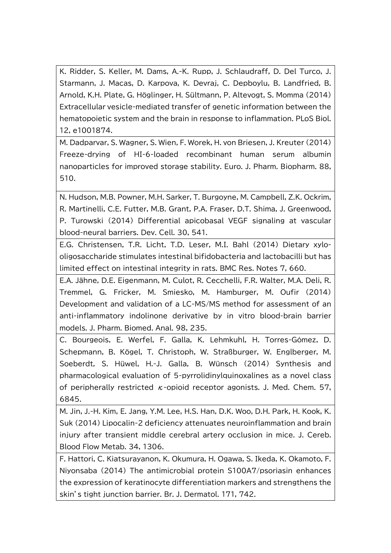K. Ridder, S. Keller, M. Dams, A.-K. Rupp, J. Schlaudraff, D. Del Turco, J. Starmann, J. Macas, D. Karpova, K. Devraj, C. Depboylu, B. Landfried, B. Arnold, K.H. Plate, G. Höglinger, H. Sültmann, P. Altevogt, S. Momma (2014) Extracellular vesicle-mediated transfer of genetic information between the hematopoietic system and the brain in response to inflammation. PLoS Biol. 12, e1001874.

M. Dadparvar, S. Wagner, S. Wien, F. Worek, H. von Briesen, J. Kreuter (2014) Freeze-drying of HI-6-loaded recombinant human serum albumin nanoparticles for improved storage stability. Euro. J. Pharm. Biopharm. 88, 510.

N. Hudson, M.B. Powner, M.H. Sarker, T. Burgoyne, M. Campbell, Z.K. Ockrim, R. Martinelli, C.E. Futter, M.B. Grant, P.A. Fraser, D.T. Shima, J. Greenwood, P. Turowski (2014) Differential apicobasal VEGF signaling at vascular blood-neural barriers. Dev. Cell. 30, 541.

E.G. Christensen, T.R. Licht, T.D. Leser, M.I. Bahl (2014) Dietary xylooligosaccharide stimulates intestinal bifidobacteria and lactobacilli but has limited effect on intestinal integrity in rats. BMC Res. Notes 7, 660.

E.A. Jähne, D.E. Eigenmann, M. Culot, R. Cecchelli, F.R. Walter, M.A. Deli, R. Tremmel, G. Fricker, M. Smiesko, M. Hamburger, M. Oufir (2014) Development and validation of a LC-MS/MS method for assessment of an anti-inflammatory indolinone derivative by in vitro blood-brain barrier models. J. Pharm. Biomed. Anal. 98, 235.

C. Bourgeois, E. Werfel, F. Galla, K. Lehmkuhl, H. Torres-Gómez, D. Schepmann, B. Kögel, T. Christoph, W. Straßburger, W. Englberger, M. Soeberdt, S. Hüwel, H.-J. Galla, B. Wünsch (2014) Synthesis and pharmacological evaluation of 5-pyrrolidinylquinoxalines as a novel class of peripherally restricted  $\kappa$ -opioid receptor agonists. J. Med. Chem. 57, 6845.

M. Jin, J.-H. Kim, E. Jang, Y.M. Lee, H.S. Han, D.K. Woo, D.H. Park, H. Kook, K. Suk (2014) Lipocalin-2 deficiency attenuates neuroinflammation and brain injury after transient middle cerebral artery occlusion in mice. J. Cereb. Blood Flow Metab. 34, 1306.

F. Hattori, C. Kiatsurayanon, K. Okumura, H. Ogawa, S. Ikeda, K. Okamoto, F. Niyonsaba (2014) The antimicrobial protein S100A7/psoriasin enhances the expression of keratinocyte differentiation markers and strengthens the skin's tight junction barrier. Br. J. Dermatol. 171, 742.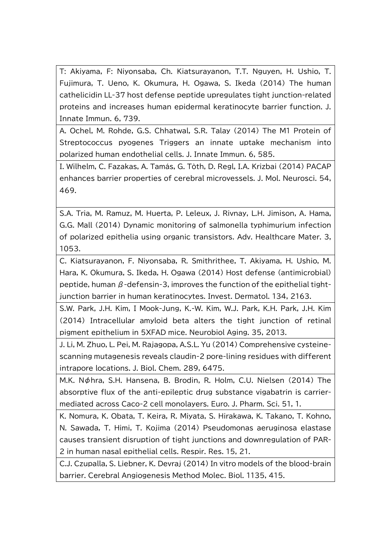T: Akiyama, F: Niyonsaba, Ch. Kiatsurayanon, T.T. Nguyen, H. Ushio, T. Fujimura, T. Ueno, K. Okumura, H. Ogawa, S. Ikeda (2014) The human cathelicidin LL-37 host defense peptide upregulates tight junction-related proteins and increases human epidermal keratinocyte barrier function. J. Innate Immun. 6, 739.

A. Ochel, M. Rohde, G.S. Chhatwal, S.R. Talay (2014) The M1 Protein of Streptococcus pyogenes Triggers an innate uptake mechanism into polarized human endothelial cells. J. Innate Immun. 6, 585.

I. Wilhelm, C. Fazakas, A. Tamás, G. Tòth, D. Regl, I.A. Krizbai (2014) PACAP enhances barrier properties of cerebral microvessels. J. Mol. Neurosci. 54, 469.

S.A. Tria, M. Ramuz, M. Huerta, P. Leleux, J. Rivnay, L.H. Jimison, A. Hama, G.G. Mall (2014) Dynamic monitoring of salmonella typhimurium infection of polarized epithelia using organic transistors. Adv. Healthcare Mater. 3, 1053.

C. Kiatsurayanon, F. Niyonsaba, R. Smithrithee, T. Akiyama, H. Ushio, M. Hara, K. Okumura, S. Ikeda, H. Ogawa (2014) Host defense (antimicrobial) peptide, human  $\beta$ -defensin-3, improves the function of the epithelial tightjunction barrier in human keratinocytes. Invest. Dermatol. 134, 2163.

S.W. Park, J.H. Kim, I Mook-Jung, K.-W. Kim, W.J. Park, K.H. Park, J.H. Kim (2014) Intracellular amyloid beta alters the tight junction of retinal pigment epithelium in 5XFAD mice. Neurobiol Aging. 35, 2013.

J. Li, M. Zhuo, L. Pei, M. Rajagopa, A.S.L. Yu (2014) Comprehensive cysteinescanning mutagenesis reveals claudin-2 pore-lining residues with different intrapore locations. J. Biol. Chem. 289, 6475.

M.K. Nφhra, S.H. Hansena, B. Brodin, R. Holm, C.U. Nielsen (2014) The absorptive flux of the anti-epileptic drug substance vigabatrin is carriermediated across Caco-2 cell monolayers. Euro. J. Pharm. Sci. 51, 1.

K. Nomura, K. Obata, T. Keira, R. Miyata, S. Hirakawa, K. Takano, T. Kohno, N. Sawada, T. Himi, T. Kojima (2014) Pseudomonas aeruginosa elastase causes transient disruption of tight junctions and downregulation of PAR-2 in human nasal epithelial cells. Respir. Res. 15, 21.

C.J. Czupalla, S. Liebner, K. Devraj (2014) In vitro models of the blood-brain barrier. Cerebral Angiogenesis Method Molec. Biol. 1135, 415.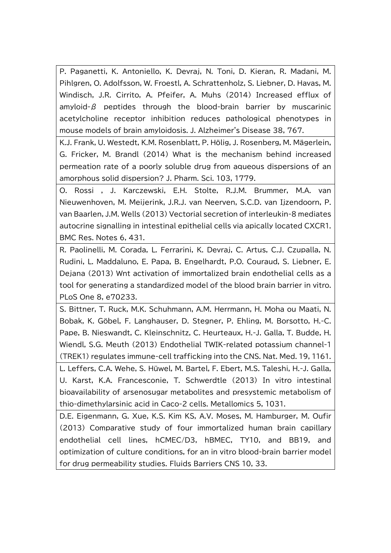P. Paganetti, K. Antoniello, K. Devraj, N. Toni, D. Kieran, R. Madani, M. Pihlgren, O. Adolfsson, W. Froestl, A. Schrattenholz, S. Liebner, D. Havas, M. Windisch, J.R. Cirrito, A. Pfeifer, A. Muhs (2014) Increased efflux of amyloid-β peptides through the blood-brain barrier by muscarinic acetylcholine receptor inhibition reduces pathological phenotypes in mouse models of brain amyloidosis. J. Alzheimer's Disease 38, 767.

K.J. Frank, U. Westedt, K.M. Rosenblatt, P. Hölig, J. Rosenberg, M. Mägerlein, G. Fricker, M. Brandl (2014) What is the mechanism behind increased permeation rate of a poorly soluble drug from aqueous dispersions of an amorphous solid dispersion? J. Pharm. Sci. 103, 1779.

O. Rossi , J. Karczewski, E.H. Stolte, R.J.M. Brummer, M.A. van Nieuwenhoven, M. Meijerink, J.R.J. van Neerven, S.C.D. van Ijzendoorn, P. van Baarlen, J.M. Wells (2013) Vectorial secretion of interleukin-8 mediates autocrine signalling in intestinal epithelial cells via apically located CXCR1. BMC Res. Notes 6, 431.

R. Paolinelli, M. Corada, L. Ferrarini, K. Devraj, C. Artus, C.J. Czupalla, N. Rudini, L. Maddaluno, E. Papa, B. Engelhardt, P.O. Couraud, S. Liebner, E. Dejana (2013) Wnt activation of immortalized brain endothelial cells as a tool for generating a standardized model of the blood brain barrier in vitro. PLoS One 8, e70233.

S. Bittner, T. Ruck, M.K. Schuhmann, A.M. Herrmann, H. Moha ou Maati, N. Bobak, K. Göbel, F. Langhauser, D. Stegner, P. Ehling, M. Borsotto, H.-C. Pape, B. Nieswandt, C. Kleinschnitz, C. Heurteaux, H.-J. Galla, T. Budde, H. Wiendl, S.G. Meuth (2013) Endothelial TWIK-related potassium channel-1 (TREK1) regulates immune-cell trafficking into the CNS. Nat. Med. 19, 1161.

L. Leffers, C.A. Wehe, S. Hüwel, M. Bartel, F. Ebert, M.S. Taleshi, H.-J. Galla, U. Karst, K.A. Francesconie, T. Schwerdtle (2013) In vitro intestinal bioavailability of arsenosugar metabolites and presystemic metabolism of thio-dimethylarsinic acid in Caco-2 cells. Metallomics 5, 1031.

D.E. Eigenmann, G. Xue, K.S. Kim KS, A.V. Moses, M. Hamburger, M. Oufir (2013) Comparative study of four immortalized human brain capillary endothelial cell lines, hCMEC/D3, hBMEC, TY10, and BB19, and optimization of culture conditions, for an in vitro blood-brain barrier model for drug permeability studies. Fluids Barriers CNS 10, 33.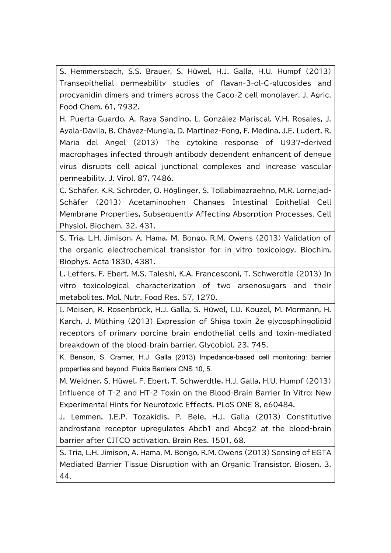S. Hemmersbach, S.S. Brauer, S. Hüwel, H.J. Galla, H.U. Humpf (2013) Transepithelial permeability studies of flavan-3-ol-C-glucosides and procyanidin dimers and trimers across the Caco-2 cell monolayer. J. Agric. Food Chem. 61, 7932.

H. Puerta-Guardo, A. Raya Sandino, L. González-Mariscal, V.H. Rosales, J. Ayala-Dávila, B. Chávez-Mungía, D. Martínez-Fong, F. Medina, J.E. Ludert, R. María del Angel (2013) The cytokine response of U937-derived macrophages infected through antibody dependent enhancent of dengue virus disrupts cell apical junctional complexes and increase vascular permeability. J. Virol. 87, 7486.

C. Schäfer, K.R. Schröder, O. Höglinger, S. Tollabimazraehno, M.R. Lornejad-Schäfer (2013) Acetaminophen Changes Intestinal Epithelial Cell Membrane Properties, Subsequently Affecting Absorption Processes. Cell Physiol. Biochem. 32, 431.

S. Tria, L.H. Jimison, A. Hama, M. Bongo, R.M. Owens (2013) Validation of the organic electrochemical transistor for in vitro toxicology. Biochim. Biophys. Acta 1830, 4381.

L. Leffers, F. Ebert, M.S. Taleshi, K.A. Francesconi, T. Schwerdtle (2013) In vitro toxicological characterization of two arsenosugars and their metabolites. Mol. Nutr. Food Res. 57, 1270.

I. Meisen, R. Rosenbrück, H.J. Galla, S. Hüwel, I.U. Kouzel, M. Mormann, H. Karch, J. Müthing (2013) Expression of Shiga toxin 2e glycosphingolipid receptors of primary porcine brain endothelial cells and toxin-mediated breakdown of the blood-brain barrier. Glycobiol. 23, 745.

K. Benson, S. Cramer, H.J. Galla (2013) Impedance-based cell monitoring: barrier properties and beyond. Fluids Barriers CNS 10, 5.

M. Weidner, S. Hüwel, F. Ebert, T. Schwerdtle, H.J. Galla, H.U. Humpf (2013) Influence of T-2 and HT-2 Toxin on the Blood-Brain Barrier In Vitro: New Experimental Hints for Neurotoxic Effects. PLoS ONE 8, e60484.

J. Lemmen, I.E.P. Tozakidis, P. Bele, H.J. Galla (2013) Constitutive androstane receptor upregulates Abcb1 and Abcg2 at the blood-brain barrier after CITCO activation. Brain Res. 1501, 68.

S. Tria, L.H. Jimison, A. Hama, M. Bongo, R.M. Owens (2013) Sensing of EGTA Mediated Barrier Tissue Disruption with an Organic Transistor. Biosen. 3, 44.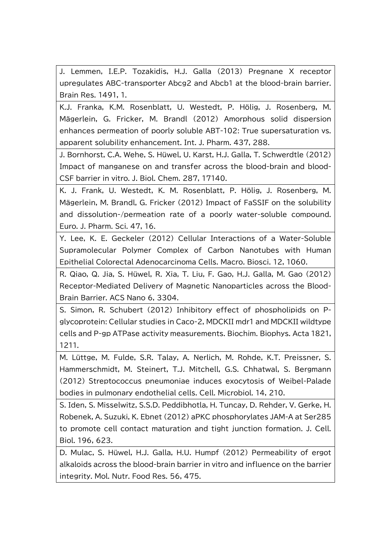J. Lemmen, I.E.P. Tozakidis, H.J. Galla (2013) Pregnane X receptor upregulates ABC-transporter Abcg2 and Abcb1 at the blood-brain barrier. Brain Res. 1491, 1.

K.J. Franka, K.M. Rosenblatt, U. Westedt, P. Hölig, J. Rosenberg, M. Mägerlein, G. Fricker, M. Brandl (2012) Amorphous solid dispersion enhances permeation of poorly soluble ABT-102: True supersaturation vs. apparent solubility enhancement. Int. J. Pharm. 437, 288.

J. Bornhorst, C.A. Wehe, S. Hüwel, U. Karst, H.J. Galla, T. Schwerdtle (2012) Impact of manganese on and transfer across the blood-brain and blood-CSF barrier in vitro. J. Biol. Chem. 287, 17140.

K. J. Frank, U. Westedt, K. M. Rosenblatt, P. Hölig, J. Rosenberg, M. Mägerlein, M. Brandl, G. Fricker (2012) Impact of FaSSIF on the solubility and dissolution-/permeation rate of a poorly water-soluble compound. Euro. J. Pharm. Sci. 47, 16.

Y. Lee, K. E. Geckeler (2012) Cellular Interactions of a Water-Soluble Supramolecular Polymer Complex of Carbon Nanotubes with Human Epithelial Colorectal Adenocarcinoma Cells. Macro. Biosci. 12, 1060.

R. Qiao, Q. Jia, S. Hüwel, R. Xia, T. Liu, F. Gao, H.J. Galla, M. Gao (2012) Receptor-Mediated Delivery of Magnetic Nanoparticles across the Blood-Brain Barrier. ACS Nano 6, 3304.

S. Simon, R. Schubert (2012) Inhibitory effect of phospholipids on Pglycoprotein: Cellular studies in Caco-2, MDCKII mdr1 and MDCKII wildtype cells and P-gp ATPase activity measurements. Biochim. Biophys. Acta 1821, 1211.

M. Lüttge, M. Fulde, S.R. Talay, A. Nerlich, M. Rohde, K.T. Preissner, S. Hammerschmidt, M. Steinert, T.J. Mitchell, G.S. Chhatwal, S. Bergmann (2012) Streptococcus pneumoniae induces exocytosis of Weibel-Palade bodies in pulmonary endothelial cells. Cell. Microbiol. 14, 210.

S. Iden, S. Misselwitz, S.S.D. Peddibhotla, H. Tuncay, D. Rehder, V. Gerke, H. Robenek, A. Suzuki, K. Ebnet (2012) aPKC phosphorylates JAM-A at Ser285 to promote cell contact maturation and tight junction formation. J. Cell. Biol. 196, 623.

D. Mulac, S. Hüwel, H.J. Galla, H.U. Humpf (2012) Permeability of ergot alkaloids across the blood-brain barrier in vitro and influence on the barrier integrity. Mol. Nutr. Food Res. 56, 475.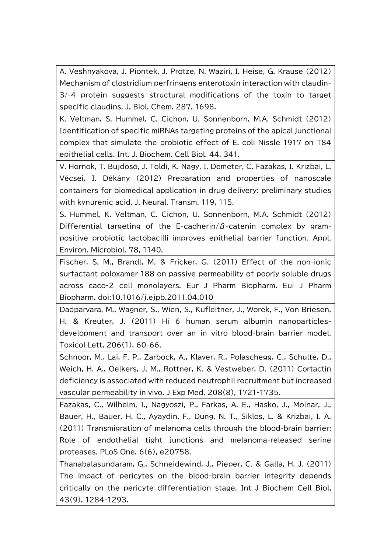A. Veshnyakova, J. Piontek, J. Protze, N. Waziri, I. Heise, G. Krause (2012) Mechanism of clostridium perfringens enterotoxin interaction with claudin-3/-4 protein suggests structural modifications of the toxin to target specific claudins. J. Biol. Chem. 287, 1698.

K. Veltman, S. Hummel, C. Cichon, U. Sonnenborn, M.A. Schmidt (2012) Identification of specific miRNAs targeting proteins of the apical junctional complex that simulate the probiotic effect of E. coli Nissle 1917 on T84 epithelial cells. Int. J. Biochem. Cell Biol. 44, 341.

V. Hornok, T. Bujdosó, J. Toldi, K. Nagy, I. Demeter, C. Fazakas, I. Krizbai, L. Vécsei, I. Dékány (2012) Preparation and properties of nanoscale containers for biomedical application in drug delivery: preliminary studies with kynurenic acid. J. Neural. Transm. 119, 115.

S. Hummel, K. Veltman, C. Cichon, U. Sonnenborn, M.A. Schmidt (2012) Differential targeting of the E-cadherin/ $\beta$ -catenin complex by grampositive probiotic lactobacilli improves epithelial barrier function. Appl. Environ. Microbiol. 78, 1140.

Fischer, S. M., Brandl, M. & Fricker, G. (2011) Effect of the non-ionic surfactant poloxamer 188 on passive permeability of poorly soluble drugs across caco-2 cell monolayers. Eur J Pharm Biopharm. Eui J Pharm Biopharm. doi:10.1016/j.ejpb.2011.04.010

Dadparvara, M., Wagner, S., Wien, S., Kufleitner, J., Worek, F., Von Briesen, H. & Kreuter, J. (2011) Hi 6 human serum albumin nanoparticlesdevelopment and transport over an in vitro blood-brain barrier model. Toxicol Lett, 206(1), 60-66.

Schnoor, M., Lai, F. P., Zarbock, A., Klaver, R., Polaschegg, C., Schulte, D., Weich, H. A., Oelkers, J. M., Rottner, K. & Vestweber, D. (2011) Cortactin deficiency is associated with reduced neutrophil recruitment but increased vascular permeability in vivo. J Exp Med, 208(8), 1721-1735.

Fazakas, C., Wilhelm, I., Nagyoszi, P., Farkas, A. E., Hasko, J., Molnar, J., Bauer, H., Bauer, H. C., Ayaydin, F., Dung, N. T., Siklos, L. & Krizbai, I. A. (2011) Transmigration of melanoma cells through the blood-brain barrier: Role of endothelial tight junctions and melanoma-released serine proteases. PLoS One, 6(6), e20758.

Thanabalasundaram, G., Schneidewind, J., Pieper, C. & Galla, H. J. (2011) The impact of pericytes on the blood-brain barrier integrity depends critically on the pericyte differentiation stage. Int J Biochem Cell Biol, 43(9), 1284-1293.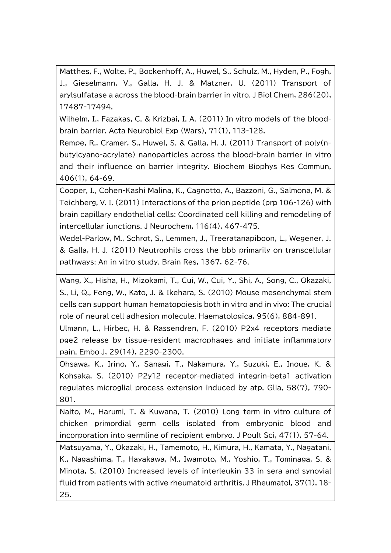Matthes, F., Wolte, P., Bockenhoff, A., Huwel, S., Schulz, M., Hyden, P., Fogh, J., Gieselmann, V., Galla, H. J. & Matzner, U. (2011) Transport of arylsulfatase a across the blood-brain barrier in vitro. J Biol Chem, 286(20), 17487-17494.

Wilhelm, I., Fazakas, C. & Krizbai, I. A. (2011) In vitro models of the bloodbrain barrier. Acta Neurobiol Exp (Wars), 71(1), 113-128.

Rempe, R., Cramer, S., Huwel, S. & Galla, H. J. (2011) Transport of poly(nbutylcyano-acrylate) nanoparticles across the blood-brain barrier in vitro and their influence on barrier integrity. Biochem Biophys Res Commun, 406(1), 64-69.

Cooper, I., Cohen-Kashi Malina, K., Cagnotto, A., Bazzoni, G., Salmona, M. & Teichberg, V. I. (2011) Interactions of the prion peptide (prp 106-126) with brain capillary endothelial cells: Coordinated cell killing and remodeling of intercellular junctions. J Neurochem, 116(4), 467-475.

Wedel-Parlow, M., Schrot, S., Lemmen, J., Treeratanapiboon, L., Wegener, J. & Galla, H. J. (2011) Neutrophils cross the bbb primarily on transcellular pathways: An in vitro study. Brain Res, 1367, 62-76.

Wang, X., Hisha, H., Mizokami, T., Cui, W., Cui, Y., Shi, A., Song, C., Okazaki, S., Li, Q., Feng, W., Kato, J. & Ikehara, S. (2010) Mouse mesenchymal stem cells can support human hematopoiesis both in vitro and in vivo: The crucial role of neural cell adhesion molecule. Haematologica, 95(6), 884-891.

Ulmann, L., Hirbec, H. & Rassendren, F. (2010) P2x4 receptors mediate pge2 release by tissue-resident macrophages and initiate inflammatory pain. Embo J, 29(14), 2290-2300.

Ohsawa, K., Irino, Y., Sanagi, T., Nakamura, Y., Suzuki, E., Inoue, K. & Kohsaka, S. (2010) P2y12 receptor-mediated integrin-beta1 activation regulates microglial process extension induced by atp. Glia, 58(7), 790- 801.

Naito, M., Harumi, T. & Kuwana, T. (2010) Long term in vitro culture of chicken primordial germ cells isolated from embryonic blood and incorporation into germline of recipient embryo. J Poult Sci, 47(1), 57-64.

Matsuyama, Y., Okazaki, H., Tamemoto, H., Kimura, H., Kamata, Y., Nagatani, K., Nagashima, T., Hayakawa, M., Iwamoto, M., Yoshio, T., Tominaga, S. & Minota, S. (2010) Increased levels of interleukin 33 in sera and synovial fluid from patients with active rheumatoid arthritis. J Rheumatol, 37(1), 18- 25.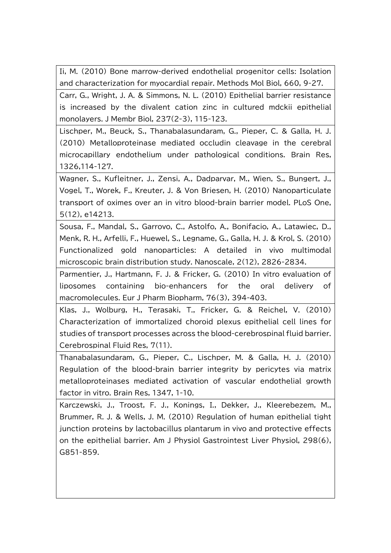Ii, M. (2010) Bone marrow-derived endothelial progenitor cells: Isolation and characterization for myocardial repair. Methods Mol Biol, 660, 9-27.

Carr, G., Wright, J. A. & Simmons, N. L. (2010) Epithelial barrier resistance is increased by the divalent cation zinc in cultured mdckii epithelial monolayers. J Membr Biol, 237(2-3), 115-123.

Lischper, M., Beuck, S., Thanabalasundaram, G., Pieper, C. & Galla, H. J. (2010) Metalloproteinase mediated occludin cleavage in the cerebral microcapillary endothelium under pathological conditions. Brain Res, 1326,114-127.

Wagner, S., Kufleitner, J., Zensi, A., Dadparvar, M., Wien, S., Bungert, J., Vogel, T., Worek, F., Kreuter, J. & Von Briesen, H. (2010) Nanoparticulate transport of oximes over an in vitro blood-brain barrier model. PLoS One, 5(12), e14213.

Sousa, F., Mandal, S., Garrovo, C., Astolfo, A., Bonifacio, A., Latawiec, D., Menk, R. H., Arfelli, F., Huewel, S., Legname, G., Galla, H. J. & Krol, S. (2010) Functionalized gold nanoparticles: A detailed in vivo multimodal microscopic brain distribution study. Nanoscale, 2(12), 2826-2834.

Parmentier, J., Hartmann, F. J. & Fricker, G. (2010) In vitro evaluation of liposomes containing bio-enhancers for the oral delivery of macromolecules. Eur J Pharm Biopharm, 76(3), 394-403.

Klas, J., Wolburg, H., Terasaki, T., Fricker, G. & Reichel, V. (2010) Characterization of immortalized choroid plexus epithelial cell lines for studies of transport processes across the blood-cerebrospinal fluid barrier. Cerebrospinal Fluid Res, 7(11).

Thanabalasundaram, G., Pieper, C., Lischper, M. & Galla, H. J. (2010) Regulation of the blood-brain barrier integrity by pericytes via matrix metalloproteinases mediated activation of vascular endothelial growth factor in vitro. Brain Res, 1347, 1-10.

Karczewski, J., Troost, F. J., Konings, I., Dekker, J., Kleerebezem, M., Brummer, R. J. & Wells, J. M. (2010) Regulation of human epithelial tight junction proteins by lactobacillus plantarum in vivo and protective effects on the epithelial barrier. Am J Physiol Gastrointest Liver Physiol, 298(6), G851-859.